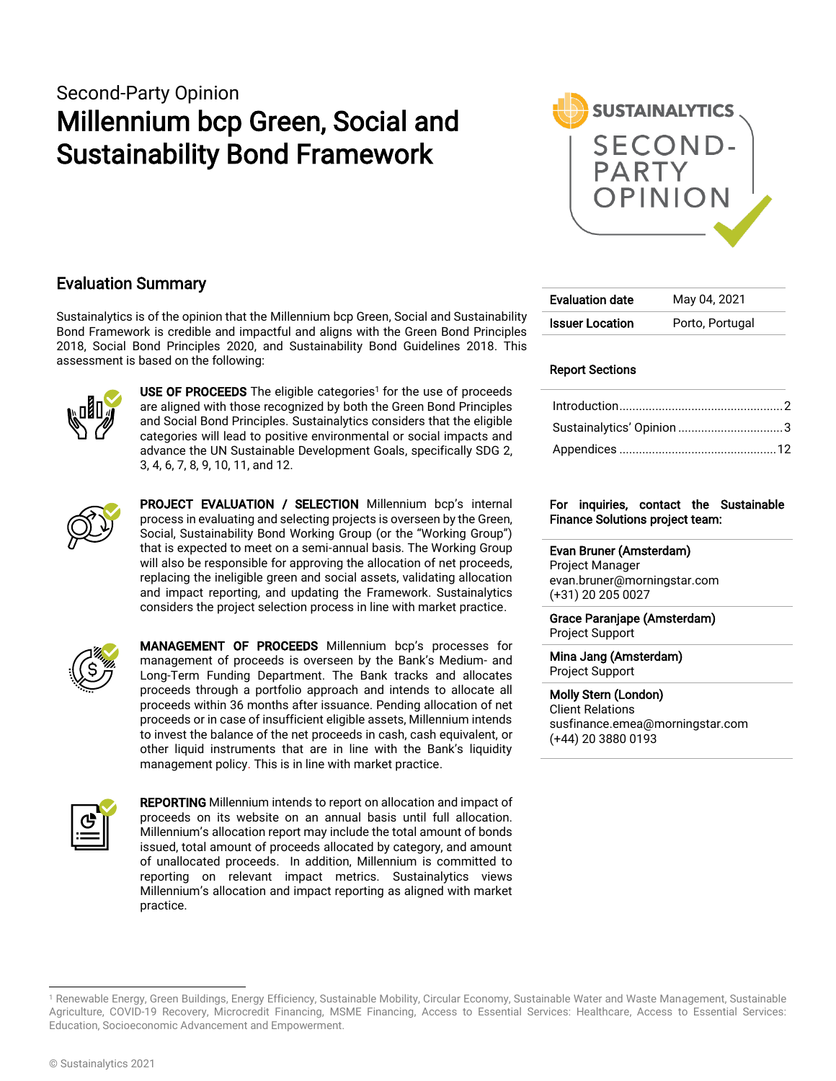## Second-Party Opinion Millennium bcp Green, Social and Sustainability Bond Framework



### Evaluation Summary

Sustainalytics is of the opinion that the Millennium bcp Green, Social and Sustainability Bond Framework is credible and impactful and aligns with the Green Bond Principles 2018, Social Bond Principles 2020, and Sustainability Bond Guidelines 2018. This assessment is based on the following:



**USE OF PROCEEDS** The eligible categories<sup>1</sup> for the use of proceeds are aligned with those recognized by both the Green Bond Principles and Social Bond Principles. Sustainalytics considers that the eligible categories will lead to positive environmental or social impacts and advance the UN Sustainable Development Goals, specifically SDG 2, 3, 4, 6, 7, 8, 9, 10, 11, and 12.



PROJECT EVALUATION / SELECTION Millennium bcp's internal process in evaluating and selecting projects is overseen by the Green, Social, Sustainability Bond Working Group (or the "Working Group") that is expected to meet on a semi-annual basis. The Working Group will also be responsible for approving the allocation of net proceeds, replacing the ineligible green and social assets, validating allocation and impact reporting, and updating the Framework. Sustainalytics considers the project selection process in line with market practice.



MANAGEMENT OF PROCEEDS Millennium bcp's processes for management of proceeds is overseen by the Bank's Medium- and Long-Term Funding Department. The Bank tracks and allocates proceeds through a portfolio approach and intends to allocate all proceeds within 36 months after issuance. Pending allocation of net proceeds or in case of insufficient eligible assets, Millennium intends to invest the balance of the net proceeds in cash, cash equivalent, or other liquid instruments that are in line with the Bank's liquidity management policy. This is in line with market practice.



**REPORTING** Millennium intends to report on allocation and impact of proceeds on its website on an annual basis until full allocation. Millennium's allocation report may include the total amount of bonds issued, total amount of proceeds allocated by category, and amount of unallocated proceeds. In addition, Millennium is committed to reporting on relevant impact metrics. Sustainalytics views Millennium's allocation and impact reporting as aligned with market practice.

| <b>Evaluation date</b> | May 04, 2021    |
|------------------------|-----------------|
| <b>Issuer Location</b> | Porto, Portugal |

#### Report Sections

| Sustainalytics' Opinion 3 |  |
|---------------------------|--|
|                           |  |

#### For inquiries, contact the Sustainable Finance Solutions project team:

Evan Bruner (Amsterdam) Project Manager

evan.bruner@morningstar.com (+31) 20 205 0027

Grace Paranjape (Amsterdam) Project Support

Mina Jang (Amsterdam) Project Support

Molly Stern (London) Client Relations susfinance.emea@morningstar.com (+44) 20 3880 0193

<sup>&</sup>lt;sup>1</sup> Renewable Energy, Green Buildings, Energy Efficiency, Sustainable Mobility, Circular Economy, Sustainable Water and Waste Management, Sustainable Agriculture, COVID-19 Recovery, Microcredit Financing, MSME Financing, Access to Essential Services: Healthcare, Access to Essential Services: Education, Socioeconomic Advancement and Empowerment.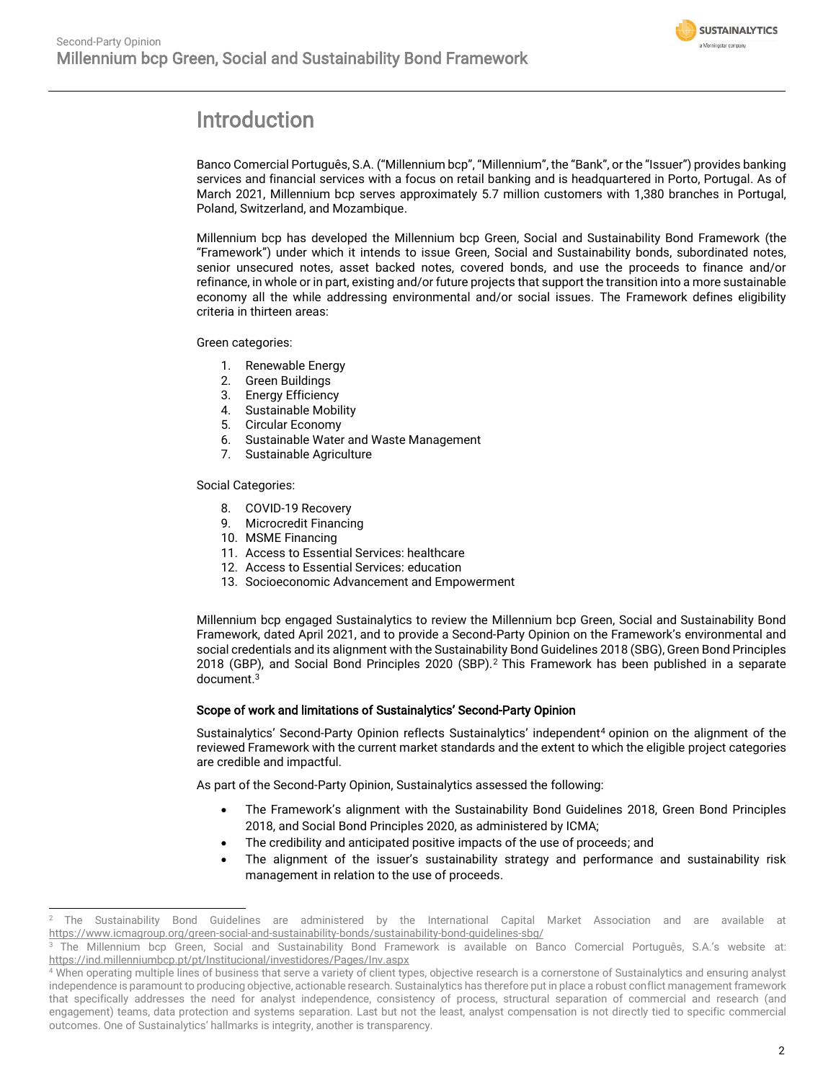

## <span id="page-1-0"></span>Introduction

Banco Comercial Português, S.A. ("Millennium bcp", "Millennium", the "Bank", or the "Issuer") provides banking services and financial services with a focus on retail banking and is headquartered in Porto, Portugal. As of March 2021, Millennium bcp serves approximately 5.7 million customers with 1,380 branches in Portugal, Poland, Switzerland, and Mozambique.

Millennium bcp has developed the Millennium bcp Green, Social and Sustainability Bond Framework (the "Framework") under which it intends to issue Green, Social and Sustainability bonds, subordinated notes, senior unsecured notes, asset backed notes, covered bonds, and use the proceeds to finance and/or refinance, in whole or in part, existing and/or future projects that support the transition into a more sustainable economy all the while addressing environmental and/or social issues. The Framework defines eligibility criteria in thirteen areas:

Green categories:

- 1. Renewable Energy
- 2. Green Buildings
- 3. Energy Efficiency
- 4. Sustainable Mobility
- 5. Circular Economy
- 6. Sustainable Water and Waste Management
- 7. Sustainable Agriculture

Social Categories:

- 8. COVID-19 Recovery
- 9. Microcredit Financing
- 10. MSME Financing
- 11. Access to Essential Services: healthcare
- 12. Access to Essential Services: education
- 13. Socioeconomic Advancement and Empowerment

Millennium bcp engaged Sustainalytics to review the Millennium bcp Green, Social and Sustainability Bond Framework, dated April 2021, and to provide a Second-Party Opinion on the Framework's environmental and social credentials and its alignment with the Sustainability Bond Guidelines 2018 (SBG), Green Bond Principles 2018 (GBP), and Social Bond Principles 2020 (SBP). <sup>2</sup> This Framework has been published in a separate document. 3

#### Scope of work and limitations of Sustainalytics' Second-Party Opinion

Sustainalytics' Second-Party Opinion reflects Sustainalytics' independent<sup>4</sup> opinion on the alignment of the reviewed Framework with the current market standards and the extent to which the eligible project categories are credible and impactful.

As part of the Second-Party Opinion, Sustainalytics assessed the following:

- The Framework's alignment with the Sustainability Bond Guidelines 2018, Green Bond Principles 2018, and Social Bond Principles 2020, as administered by ICMA;
- The credibility and anticipated positive impacts of the use of proceeds; and
- The alignment of the issuer's sustainability strategy and performance and sustainability risk management in relation to the use of proceeds.

<sup>2</sup> The Sustainability Bond Guidelines are administered by the International Capital Market Association and are available at <https://www.icmagroup.org/green-social-and-sustainability-bonds/sustainability-bond-guidelines-sbg/>

<sup>3</sup> The Millennium bcp Green, Social and Sustainability Bond Framework is available on Banco Comercial Português, S.A.'s website at: <https://ind.millenniumbcp.pt/pt/Institucional/investidores/Pages/Inv.aspx>

<sup>4</sup> When operating multiple lines of business that serve a variety of client types, objective research is a cornerstone of Sustainalytics and ensuring analyst independence is paramount to producing objective, actionable research. Sustainalytics has therefore put in place a robust conflict management framework that specifically addresses the need for analyst independence, consistency of process, structural separation of commercial and research (and engagement) teams, data protection and systems separation. Last but not the least, analyst compensation is not directly tied to specific commercial outcomes. One of Sustainalytics' hallmarks is integrity, another is transparency.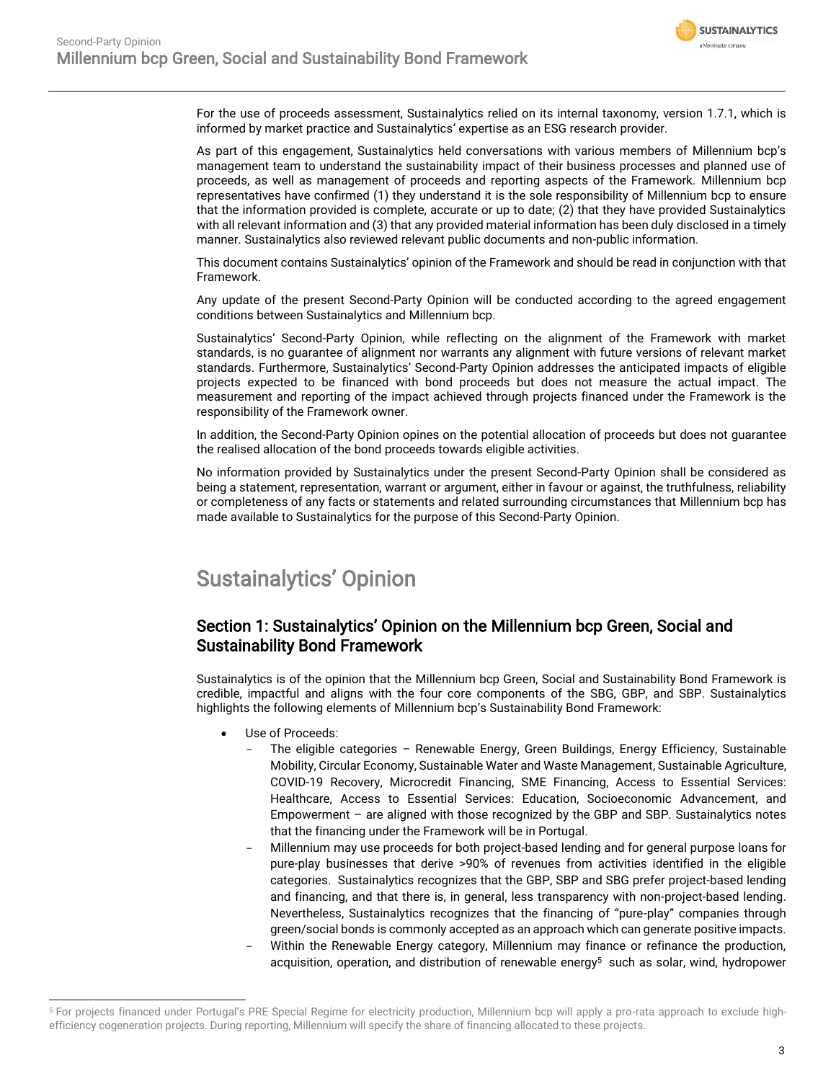

For the use of proceeds assessment, Sustainalytics relied on its internal taxonomy, version 1.7.1, which is informed by market practice and Sustainalytics' expertise as an ESG research provider.

As part of this engagement, Sustainalytics held conversations with various members of Millennium bcp's management team to understand the sustainability impact of their business processes and planned use of proceeds, as well as management of proceeds and reporting aspects of the Framework. Millennium bcp representatives have confirmed (1) they understand it is the sole responsibility of Millennium bcp to ensure that the information provided is complete, accurate or up to date; (2) that they have provided Sustainalytics with all relevant information and (3) that any provided material information has been duly disclosed in a timely manner. Sustainalytics also reviewed relevant public documents and non-public information.

This document contains Sustainalytics' opinion of the Framework and should be read in conjunction with that Framework.

Any update of the present Second-Party Opinion will be conducted according to the agreed engagement conditions between Sustainalytics and Millennium bcp.

Sustainalytics' Second-Party Opinion, while reflecting on the alignment of the Framework with market standards, is no guarantee of alignment nor warrants any alignment with future versions of relevant market standards. Furthermore, Sustainalytics' Second-Party Opinion addresses the anticipated impacts of eligible projects expected to be financed with bond proceeds but does not measure the actual impact. The measurement and reporting of the impact achieved through projects financed under the Framework is the responsibility of the Framework owner.

In addition, the Second-Party Opinion opines on the potential allocation of proceeds but does not guarantee the realised allocation of the bond proceeds towards eligible activities.

No information provided by Sustainalytics under the present Second-Party Opinion shall be considered as being a statement, representation, warrant or argument, either in favour or against, the truthfulness, reliability or completeness of any facts or statements and related surrounding circumstances that Millennium bcp has made available to Sustainalytics for the purpose of this Second-Party Opinion.

## <span id="page-2-0"></span>Sustainalytics' Opinion

### Section 1: Sustainalytics' Opinion on the Millennium bcp Green, Social and Sustainability Bond Framework

Sustainalytics is of the opinion that the Millennium bcp Green, Social and Sustainability Bond Framework is credible, impactful and aligns with the four core components of the SBG, GBP, and SBP. Sustainalytics highlights the following elements of Millennium bcp's Sustainability Bond Framework:

- Use of Proceeds:
	- The eligible categories Renewable Energy, Green Buildings, Energy Efficiency, Sustainable Mobility, Circular Economy, Sustainable Water and Waste Management, Sustainable Agriculture, COVID-19 Recovery, Microcredit Financing, SME Financing, Access to Essential Services: Healthcare, Access to Essential Services: Education, Socioeconomic Advancement, and Empowerment – are aligned with those recognized by the GBP and SBP. Sustainalytics notes that the financing under the Framework will be in Portugal.
	- Millennium may use proceeds for both project-based lending and for general purpose loans for pure-play businesses that derive >90% of revenues from activities identified in the eligible categories. Sustainalytics recognizes that the GBP, SBP and SBG prefer project-based lending and financing, and that there is, in general, less transparency with non-project-based lending. Nevertheless, Sustainalytics recognizes that the financing of "pure-play" companies through green/social bonds is commonly accepted as an approach which can generate positive impacts.
	- Within the Renewable Energy category, Millennium may finance or refinance the production, acquisition, operation, and distribution of renewable energy<sup>5</sup> such as solar, wind, hydropower

<sup>5</sup> For projects financed under Portugal's PRE Special Regime for electricity production, Millennium bcp will apply a pro-rata approach to exclude highefficiency cogeneration projects. During reporting, Millennium will specify the share of financing allocated to these projects.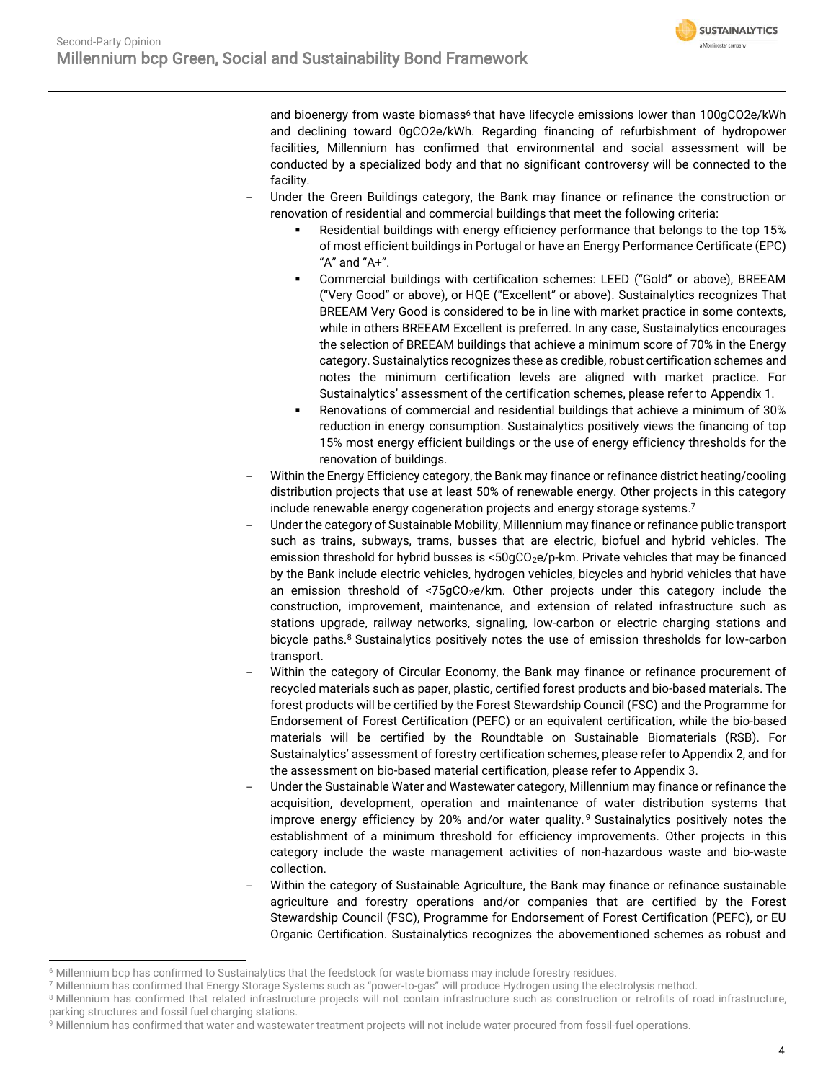**SUSTAINALYTICS** a Morningstar company

and bioenergy from waste biomass<sup>6</sup> that have lifecycle emissions lower than 100gCO2e/kWh and declining toward 0gCO2e/kWh. Regarding financing of refurbishment of hydropower facilities, Millennium has confirmed that environmental and social assessment will be conducted by a specialized body and that no significant controversy will be connected to the facility.

- Under the Green Buildings category, the Bank may finance or refinance the construction or renovation of residential and commercial buildings that meet the following criteria:
	- Residential buildings with energy efficiency performance that belongs to the top 15% of most efficient buildings in Portugal or have an Energy Performance Certificate (EPC) "A" and "A+".
	- Commercial buildings with certification schemes: LEED ("Gold" or above), BREEAM ("Very Good" or above), or HQE ("Excellent" or above). Sustainalytics recognizes That BREEAM Very Good is considered to be in line with market practice in some contexts, while in others BREEAM Excellent is preferred. In any case, Sustainalytics encourages the selection of BREEAM buildings that achieve a minimum score of 70% in the Energy category. Sustainalytics recognizes these as credible, robust certification schemes and notes the minimum certification levels are aligned with market practice. For Sustainalytics' assessment of the certification schemes, please refer to Appendix 1.
	- Renovations of commercial and residential buildings that achieve a minimum of 30% reduction in energy consumption. Sustainalytics positively views the financing of top 15% most energy efficient buildings or the use of energy efficiency thresholds for the renovation of buildings.
- Within the Energy Efficiency category, the Bank may finance or refinance district heating/cooling distribution projects that use at least 50% of renewable energy. Other projects in this category include renewable energy cogeneration projects and energy storage systems.<sup>7</sup>
- Under the category of Sustainable Mobility, Millennium may finance or refinance public transport such as trains, subways, trams, busses that are electric, biofuel and hybrid vehicles. The emission threshold for hybrid busses is  $< 50qCO_2e/p$ -km. Private vehicles that may be financed by the Bank include electric vehicles, hydrogen vehicles, bicycles and hybrid vehicles that have an emission threshold of  $< 75qCO<sub>2</sub>e/km$ . Other projects under this category include the construction, improvement, maintenance, and extension of related infrastructure such as stations upgrade, railway networks, signaling, low-carbon or electric charging stations and bicycle paths.<sup>8</sup> Sustainalytics positively notes the use of emission thresholds for low-carbon transport.
- Within the category of Circular Economy, the Bank may finance or refinance procurement of recycled materials such as paper, plastic, certified forest products and bio-based materials. The forest products will be certified by the Forest Stewardship Council (FSC) and the Programme for Endorsement of Forest Certification (PEFC) or an equivalent certification, while the bio-based materials will be certified by the Roundtable on Sustainable Biomaterials (RSB). For Sustainalytics' assessment of forestry certification schemes, please refer to Appendix 2, and for the assessment on bio-based material certification, please refer to Appendix 3.
- Under the Sustainable Water and Wastewater category, Millennium may finance or refinance the acquisition, development, operation and maintenance of water distribution systems that improve energy efficiency by 20% and/or water quality. <sup>9</sup> Sustainalytics positively notes the establishment of a minimum threshold for efficiency improvements. Other projects in this category include the waste management activities of non-hazardous waste and bio-waste collection.
- Within the category of Sustainable Agriculture, the Bank may finance or refinance sustainable agriculture and forestry operations and/or companies that are certified by the Forest Stewardship Council (FSC), Programme for Endorsement of Forest Certification (PEFC), or EU Organic Certification. Sustainalytics recognizes the abovementioned schemes as robust and

<sup>6</sup> Millennium bcp has confirmed to Sustainalytics that the feedstock for waste biomass may include forestry residues.

<sup>7</sup> Millennium has confirmed that Energy Storage Systems such as "power-to-gas" will produce Hydrogen using the electrolysis method.

<sup>&</sup>lt;sup>8</sup> Millennium has confirmed that related infrastructure projects will not contain infrastructure such as construction or retrofits of road infrastructure, parking structures and fossil fuel charging stations.

<sup>&</sup>lt;sup>9</sup> Millennium has confirmed that water and wastewater treatment projects will not include water procured from fossil-fuel operations.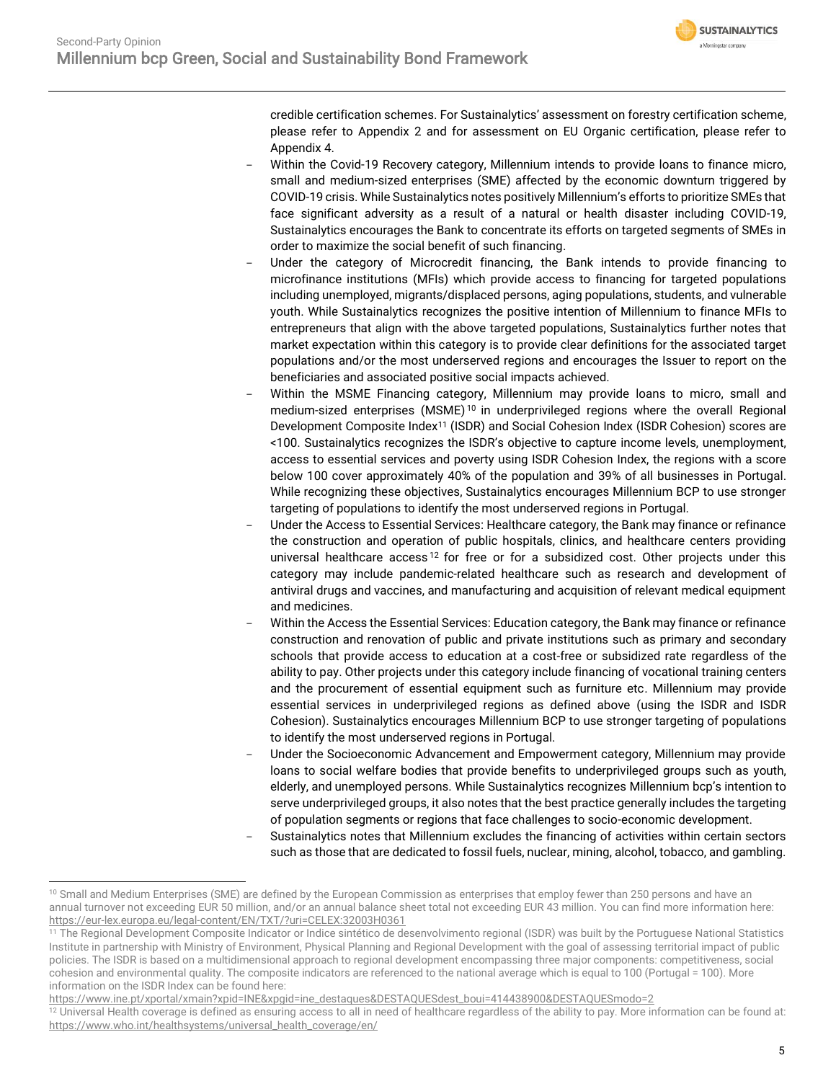

credible certification schemes. For Sustainalytics' assessment on forestry certification scheme, please refer to Appendix 2 and for assessment on EU Organic certification, please refer to Appendix 4.

- Within the Covid-19 Recovery category, Millennium intends to provide loans to finance micro, small and medium-sized enterprises (SME) affected by the economic downturn triggered by COVID-19 crisis. While Sustainalytics notes positively Millennium's efforts to prioritize SMEs that face significant adversity as a result of a natural or health disaster including COVID-19, Sustainalytics encourages the Bank to concentrate its efforts on targeted segments of SMEs in order to maximize the social benefit of such financing.
- Under the category of Microcredit financing, the Bank intends to provide financing to microfinance institutions (MFIs) which provide access to financing for targeted populations including unemployed, migrants/displaced persons, aging populations, students, and vulnerable youth. While Sustainalytics recognizes the positive intention of Millennium to finance MFIs to entrepreneurs that align with the above targeted populations, Sustainalytics further notes that market expectation within this category is to provide clear definitions for the associated target populations and/or the most underserved regions and encourages the Issuer to report on the beneficiaries and associated positive social impacts achieved.
- Within the MSME Financing category, Millennium may provide loans to micro, small and medium-sized enterprises  $(MSME)^{10}$  in underprivileged regions where the overall Regional Development Composite Index<sup>11</sup> (ISDR) and Social Cohesion Index (ISDR Cohesion) scores are <100. Sustainalytics recognizes the ISDR's objective to capture income levels, unemployment, access to essential services and poverty using ISDR Cohesion Index, the regions with a score below 100 cover approximately 40% of the population and 39% of all businesses in Portugal. While recognizing these objectives, Sustainalytics encourages Millennium BCP to use stronger targeting of populations to identify the most underserved regions in Portugal.
- Under the Access to Essential Services: Healthcare category, the Bank may finance or refinance the construction and operation of public hospitals, clinics, and healthcare centers providing universal healthcare access<sup>12</sup> for free or for a subsidized cost. Other projects under this category may include pandemic-related healthcare such as research and development of antiviral drugs and vaccines, and manufacturing and acquisition of relevant medical equipment and medicines.
- Within the Access the Essential Services: Education category, the Bank may finance or refinance construction and renovation of public and private institutions such as primary and secondary schools that provide access to education at a cost-free or subsidized rate regardless of the ability to pay. Other projects under this category include financing of vocational training centers and the procurement of essential equipment such as furniture etc. Millennium may provide essential services in underprivileged regions as defined above (using the ISDR and ISDR Cohesion). Sustainalytics encourages Millennium BCP to use stronger targeting of populations to identify the most underserved regions in Portugal.
- Under the Socioeconomic Advancement and Empowerment category, Millennium may provide loans to social welfare bodies that provide benefits to underprivileged groups such as youth, elderly, and unemployed persons. While Sustainalytics recognizes Millennium bcp's intention to serve underprivileged groups, it also notes that the best practice generally includes the targeting of population segments or regions that face challenges to socio-economic development.
- Sustainalytics notes that Millennium excludes the financing of activities within certain sectors such as those that are dedicated to fossil fuels, nuclear, mining, alcohol, tobacco, and gambling.

<sup>&</sup>lt;sup>10</sup> Small and Medium Enterprises (SME) are defined by the European Commission as enterprises that employ fewer than 250 persons and have an annual turnover not exceeding EUR 50 million, and/or an annual balance sheet total not exceeding EUR 43 million. You can find more information here: <https://eur-lex.europa.eu/legal-content/EN/TXT/?uri=CELEX:32003H0361>

<sup>&</sup>lt;sup>11</sup> The Regional Development Composite Indicator or Indice sintético de desenvolvimento regional (ISDR) was built by the Portuguese National Statistics Institute in partnership with Ministry of Environment, Physical Planning and Regional Development with the goal of assessing territorial impact of public policies. The ISDR is based on a multidimensional approach to regional development encompassing three major components: competitiveness, social cohesion and environmental quality. The composite indicators are referenced to the national average which is equal to 100 (Portugal = 100). More information on the ISDR Index can be found here:

[https://www.ine.pt/xportal/xmain?xpid=INE&xpgid=ine\\_destaques&DESTAQUESdest\\_boui=414438900&DESTAQUESmodo=2](https://www.ine.pt/xportal/xmain?xpid=INE&xpgid=ine_destaques&DESTAQUESdest_boui=414438900&DESTAQUESmodo=2)

<sup>&</sup>lt;sup>12</sup> Universal Health coverage is defined as ensuring access to all in need of healthcare regardless of the ability to pay. More information can be found at: [https://www.who.int/healthsystems/universal\\_health\\_coverage/en/](https://www.who.int/healthsystems/universal_health_coverage/en/)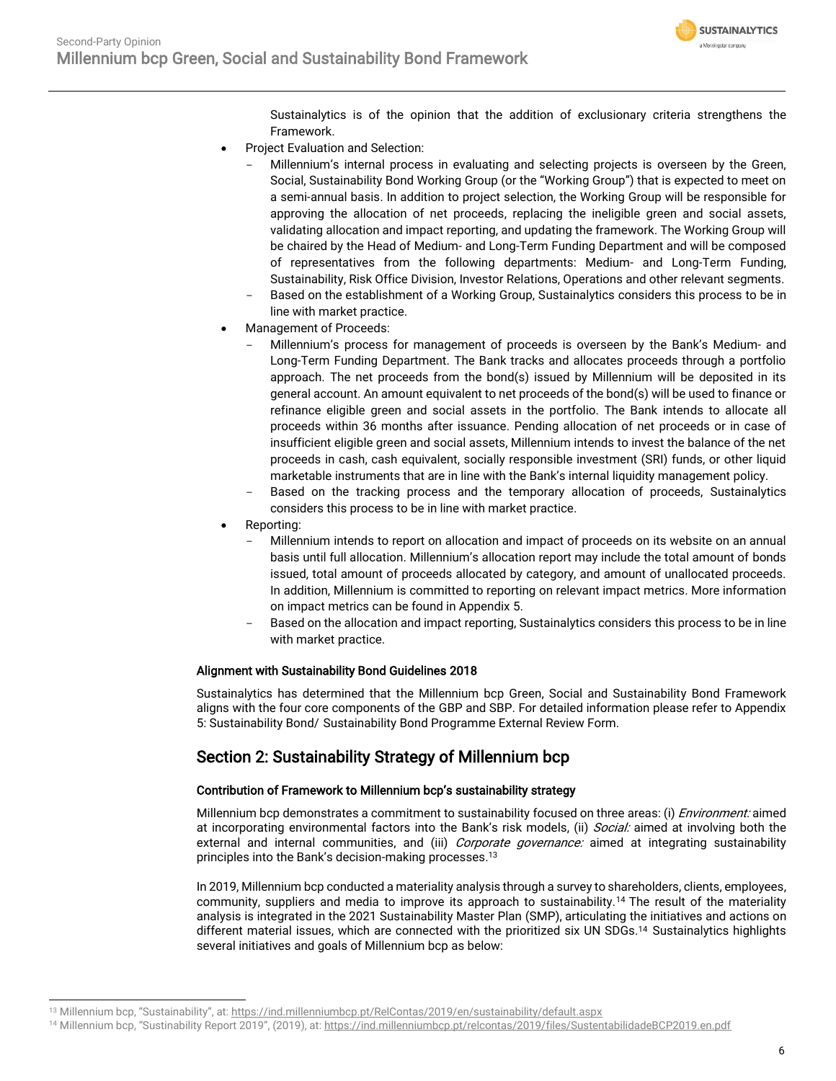

Sustainalytics is of the opinion that the addition of exclusionary criteria strengthens the Framework.

- Project Evaluation and Selection:
	- Millennium's internal process in evaluating and selecting projects is overseen by the Green, Social, Sustainability Bond Working Group (or the "Working Group") that is expected to meet on a semi-annual basis. In addition to project selection, the Working Group will be responsible for approving the allocation of net proceeds, replacing the ineligible green and social assets, validating allocation and impact reporting, and updating the framework. The Working Group will be chaired by the Head of Medium- and Long-Term Funding Department and will be composed of representatives from the following departments: Medium- and Long-Term Funding, Sustainability, Risk Office Division, Investor Relations, Operations and other relevant segments.
	- Based on the establishment of a Working Group, Sustainalytics considers this process to be in line with market practice.
- Management of Proceeds:
	- Millennium's process for management of proceeds is overseen by the Bank's Medium- and Long-Term Funding Department. The Bank tracks and allocates proceeds through a portfolio approach. The net proceeds from the bond(s) issued by Millennium will be deposited in its general account. An amount equivalent to net proceeds of the bond(s) will be used to finance or refinance eligible green and social assets in the portfolio. The Bank intends to allocate all proceeds within 36 months after issuance. Pending allocation of net proceeds or in case of insufficient eligible green and social assets, Millennium intends to invest the balance of the net proceeds in cash, cash equivalent, socially responsible investment (SRI) funds, or other liquid marketable instruments that are in line with the Bank's internal liquidity management policy.
	- Based on the tracking process and the temporary allocation of proceeds, Sustainalytics considers this process to be in line with market practice.
- Reporting:
	- Millennium intends to report on allocation and impact of proceeds on its website on an annual basis until full allocation. Millennium's allocation report may include the total amount of bonds issued, total amount of proceeds allocated by category, and amount of unallocated proceeds. In addition, Millennium is committed to reporting on relevant impact metrics. More information on impact metrics can be found in Appendix 5.
	- Based on the allocation and impact reporting, Sustainalytics considers this process to be in line with market practice.

#### Alignment with Sustainability Bond Guidelines 2018

Sustainalytics has determined that the Millennium bcp Green, Social and Sustainability Bond Framework aligns with the four core components of the GBP and SBP. For detailed information please refer to Appendix 5: Sustainability Bond/ Sustainability Bond Programme External Review Form.

### Section 2: Sustainability Strategy of Millennium bcp

#### Contribution of Framework to Millennium bcp's sustainability strategy

Millennium bcp demonstrates a commitment to sustainability focused on three areas: (i) *Environment:* aimed at incorporating environmental factors into the Bank's risk models, (ii) Social: aimed at involving both the external and internal communities, and (iii) *Corporate governance:* aimed at integrating sustainability principles into the Bank's decision-making processes. 13

<span id="page-5-0"></span>In 2019, Millennium bcp conducted a materiality analysis through a survey to shareholders, clients, employees, community, suppliers and media to improve its approach to sustainability.<sup>14</sup> The result of the materiality analysis is integrated in the 2021 Sustainability Master Plan (SMP), articulating the initiatives and actions on different material issues, which are connected with the prioritized six UN SDGs. [14](#page-5-0) Sustainalytics highlights several initiatives and goals of Millennium bcp as below:

<sup>13</sup> Millennium bcp, "Sustainability", at: <https://ind.millenniumbcp.pt/RelContas/2019/en/sustainability/default.aspx>

<sup>14</sup> Millennium bcp, "Sustinability Report 2019", (2019), at: <https://ind.millenniumbcp.pt/relcontas/2019/files/SustentabilidadeBCP2019.en.pdf>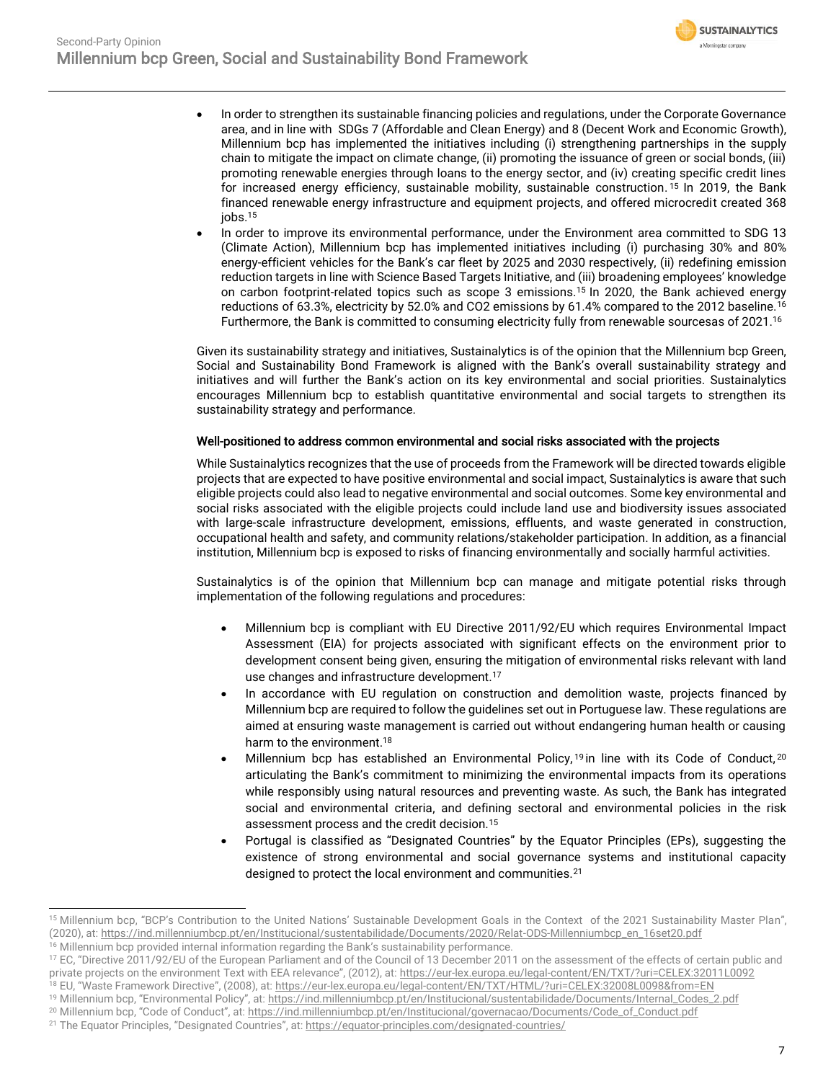<span id="page-6-2"></span><span id="page-6-1"></span><span id="page-6-0"></span>

- In order to strengthen its sustainable financing policies and regulations, under the Corporate Governance area, and in line with SDGs 7 (Affordable and Clean Energy) and 8 (Decent Work and Economic Growth), Millennium bcp has implemented the initiatives including (i) strengthening partnerships in the supply chain to mitigate the impact on climate change, (ii) promoting the issuance of green or social bonds, (iii) promoting renewable energies through loans to the energy sector, and (iv) creating specific credit lines for increased energy efficiency, sustainable mobility, sustainable construction. <sup>15</sup> In 2019, the Bank financed renewable energy infrastructure and equipment projects, and offered microcredit created 368 jobs.[15](#page-6-0)
- In order to improve its environmental performance, under the Environment area committed to SDG 13 (Climate Action), Millennium bcp has implemented initiatives including (i) purchasing 30% and 80% energy-efficient vehicles for the Bank's car fleet by 2025 and 2030 respectively, (ii) redefining emission reduction targets in line with Science Based Targets Initiative, and (iii) broadening employees' knowledge on carbon footprint-related topics such as scope 3 emissions.[15](#page-6-0) In 2020, the Bank achieved energy reductions of 63.3%, electricity by 52.0% and CO2 emissions by 61.4% compared to the 2012 baseline.<sup>16</sup> Furthermore, the Bank is committed to consuming electricity fully from renewable sourcesas of 2021. [16](#page-6-1)

Given its sustainability strategy and initiatives, Sustainalytics is of the opinion that the Millennium bcp Green, Social and Sustainability Bond Framework is aligned with the Bank's overall sustainability strategy and initiatives and will further the Bank's action on its key environmental and social priorities. Sustainalytics encourages Millennium bcp to establish quantitative environmental and social targets to strengthen its sustainability strategy and performance.

#### Well-positioned to address common environmental and social risks associated with the projects

While Sustainalytics recognizes that the use of proceeds from the Framework will be directed towards eligible projects that are expected to have positive environmental and social impact, Sustainalytics is aware that such eligible projects could also lead to negative environmental and social outcomes. Some key environmental and social risks associated with the eligible projects could include land use and biodiversity issues associated with large-scale infrastructure development, emissions, effluents, and waste generated in construction, occupational health and safety, and community relations/stakeholder participation. In addition, as a financial institution, Millennium bcp is exposed to risks of financing environmentally and socially harmful activities.

Sustainalytics is of the opinion that Millennium bcp can manage and mitigate potential risks through implementation of the following regulations and procedures:

- Millennium bcp is compliant with EU Directive 2011/92/EU which requires Environmental Impact Assessment (EIA) for projects associated with significant effects on the environment prior to development consent being given, ensuring the mitigation of environmental risks relevant with land use changes and infrastructure development.<sup>17</sup>
- In accordance with EU regulation on construction and demolition waste, projects financed by Millennium bcp are required to follow the guidelines set out in Portuguese law. These regulations are aimed at ensuring waste management is carried out without endangering human health or causing harm to the environment.<sup>18</sup>
- Millennium bcp has established an Environmental Policy,<sup>19</sup> in line with its Code of Conduct,<sup>20</sup> articulating the Bank's commitment to minimizing the environmental impacts from its operations while responsibly using natural resources and preventing waste. As such, the Bank has integrated social and environmental criteria, and defining sectoral and environmental policies in the risk assessment process and the credit decision.[15](#page-6-2)
- Portugal is classified as "Designated Countries" by the Equator Principles (EPs), suggesting the existence of strong environmental and social governance systems and institutional capacity designed to protect the local environment and communities.<sup>21</sup>

<sup>&</sup>lt;sup>15</sup> Millennium bcp, "BCP's Contribution to the United Nations' Sustainable Development Goals in the Context of the 2021 Sustainability Master Plan", (2020), at: [https://ind.millenniumbcp.pt/en/Institucional/sustentabilidade/Documents/2020/Relat-ODS-Millenniumbcp\\_en\\_16set20.pdf](https://ind.millenniumbcp.pt/en/Institucional/sustentabilidade/Documents/2020/Relat-ODS-Millenniumbcp_en_16set20.pdf)

<sup>&</sup>lt;sup>16</sup> Millennium bcp provided internal information regarding the Bank's sustainability performance.

<sup>&</sup>lt;sup>17</sup> EC, "Directive 2011/92/EU of the European Parliament and of the Council of 13 December 2011 on the assessment of the effects of certain public and private projects on the environment Text with EEA relevance", (2012), at: <https://eur-lex.europa.eu/legal-content/EN/TXT/?uri=CELEX:32011L0092>

<sup>18</sup> EU, "Waste Framework Directive", (2008), at[: https://eur-lex.europa.eu/legal-content/EN/TXT/HTML/?uri=CELEX:32008L0098&from=EN](https://eur-lex.europa.eu/legal-content/EN/TXT/HTML/?uri=CELEX:32008L0098&from=EN)

<sup>19</sup> Millennium bcp, "Environmental Policy", at: [https://ind.millenniumbcp.pt/en/Institucional/sustentabilidade/Documents/Internal\\_Codes\\_2.pdf](https://ind.millenniumbcp.pt/en/Institucional/sustentabilidade/Documents/Internal_Codes_2.pdf)

<sup>&</sup>lt;sup>20</sup> Millennium bcp, "Code of Conduct", at: [https://ind.millenniumbcp.pt/en/Institucional/governacao/Documents/Code\\_of\\_Conduct.pdf](https://ind.millenniumbcp.pt/en/Institucional/governacao/Documents/Code_of_Conduct.pdf) <sup>21</sup> The Equator Principles, "Designated Countries", at[: https://equator-principles.com/designated-countries/](https://equator-principles.com/designated-countries/)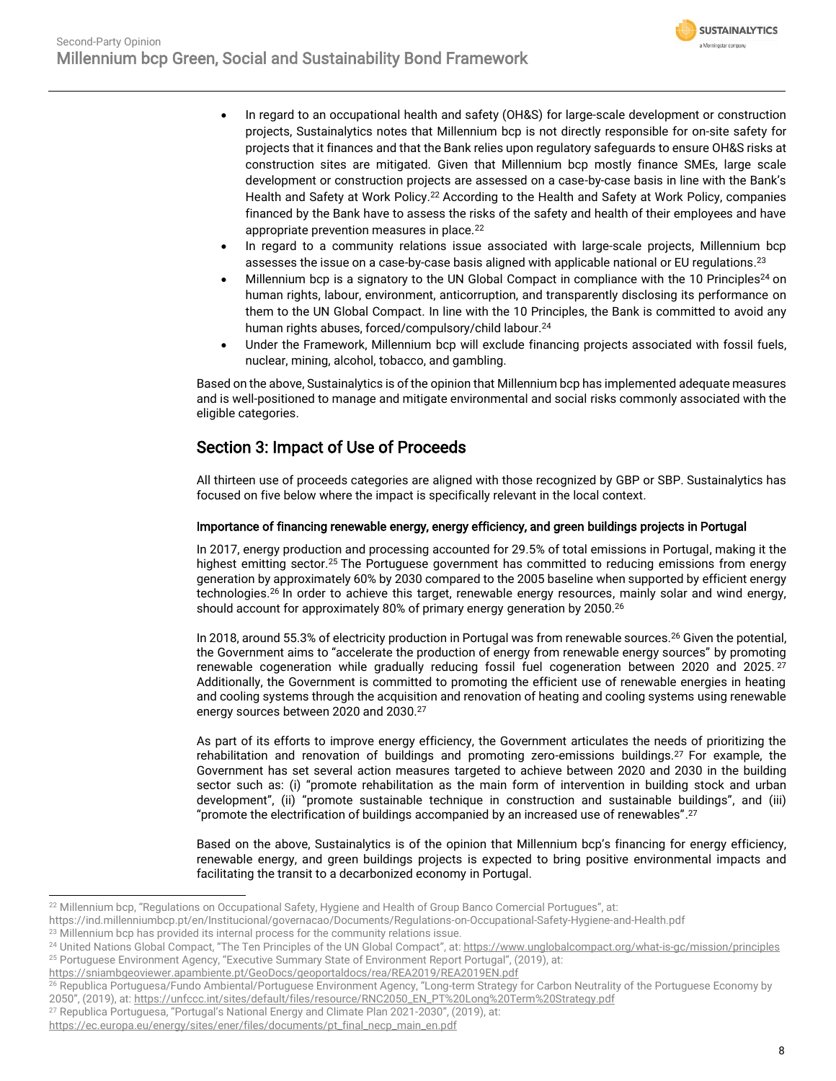<span id="page-7-1"></span>

- In regard to an occupational health and safety (OH&S) for large-scale development or construction projects, Sustainalytics notes that Millennium bcp is not directly responsible for on-site safety for projects that it finances and that the Bank relies upon regulatory safeguards to ensure OH&S risks at construction sites are mitigated. Given that Millennium bcp mostly finance SMEs, large scale development or construction projects are assessed on a case-by-case basis in line with the Bank's Health and Safety at Work Policy.<sup>22</sup> According to the Health and Safety at Work Policy, companies financed by the Bank have to assess the risks of the safety and health of their employees and have appropriate prevention measures in place.<sup>[22](#page-7-0)</sup>
- <span id="page-7-0"></span>• In regard to a community relations issue associated with large-scale projects, Millennium bcp assesses the issue on a case-by-case basis aligned with applicable national or EU regulations.<sup>23</sup>
- Millennium bcp is a signatory to the UN Global Compact in compliance with the 10 Principles<sup>24</sup> on human rights, labour, environment, anticorruption, and transparently disclosing its performance on them to the UN Global Compact. In line with the 10 Principles, the Bank is committed to avoid any human rights abuses, forced/compulsory/child labour.[24](#page-7-1)
- Under the Framework, Millennium bcp will exclude financing projects associated with fossil fuels, nuclear, mining, alcohol, tobacco, and gambling.

Based on the above, Sustainalytics is of the opinion that Millennium bcp has implemented adequate measures and is well-positioned to manage and mitigate environmental and social risks commonly associated with the eligible categories.

### Section 3: Impact of Use of Proceeds

All thirteen use of proceeds categories are aligned with those recognized by GBP or SBP. Sustainalytics has focused on five below where the impact is specifically relevant in the local context.

#### Importance of financing renewable energy, energy efficiency, and green buildings projects in Portugal

<span id="page-7-2"></span>In 2017, energy production and processing accounted for 29.5% of total emissions in Portugal, making it the highest emitting sector.<sup>25</sup> The Portuguese government has committed to reducing emissions from energy generation by approximately 60% by 2030 compared to the 2005 baseline when supported by efficient energy technologies.<sup>26</sup> In order to achieve this target, renewable energy resources, mainly solar and wind energy, should account for approximately 80% of primary energy generation by 2050.<sup>[26](#page-7-2)</sup>

<span id="page-7-3"></span>In 2018, around 55.3% of electricity production in Portugal was from renewable sources.<sup>[26](#page-7-2)</sup> Given the potential, the Government aims to "accelerate the production of energy from renewable energy sources" by promoting renewable cogeneration while gradually reducing fossil fuel cogeneration between 2020 and 2025.<sup>27</sup> Additionally, the Government is committed to promoting the efficient use of renewable energies in heating and cooling systems through the acquisition and renovation of heating and cooling systems using renewable energy sources between 2020 and 2030.[27](#page-7-3)

As part of its efforts to improve energy efficiency, the Government articulates the needs of prioritizing the rehabilitation and renovation of buildings and promoting zero-emissions buildings.[27](#page-7-3) For example, the Government has set several action measures targeted to achieve between 2020 and 2030 in the building sector such as: (i) "promote rehabilitation as the main form of intervention in building stock and urban development", (ii) "promote sustainable technique in construction and sustainable buildings", and (iii) "promote the electrification of buildings accompanied by an increased use of renewables".<sup>[27](#page-7-3)</sup>

Based on the above, Sustainalytics is of the opinion that Millennium bcp's financing for energy efficiency, renewable energy, and green buildings projects is expected to bring positive environmental impacts and facilitating the transit to a decarbonized economy in Portugal.

<https://sniambgeoviewer.apambiente.pt/GeoDocs/geoportaldocs/rea/REA2019/REA2019EN.pdf>

<sup>22</sup> Millennium bcp, "Regulations on Occupational Safety, Hygiene and Health of Group Banco Comercial Portugues", at:

https://ind.millenniumbcp.pt/en/Institucional/governacao/Documents/Regulations-on-Occupational-Safety-Hygiene-and-Health.pdf

<sup>&</sup>lt;sup>23</sup> Millennium bcp has provided its internal process for the community relations issue.

<sup>&</sup>lt;sup>24</sup> United Nations Global Compact, "The Ten Principles of the UN Global Compact", at: <https://www.unglobalcompact.org/what-is-gc/mission/principles> <sup>25</sup> Portuguese Environment Agency, "Executive Summary State of Environment Report Portugal", (2019), at:

<sup>26</sup> Republica Portuguesa/Fundo Ambiental/Portuguese Environment Agency, "Long-term Strategy for Carbon Neutrality of the Portuguese Economy by 2050", (2019), at: [https://unfccc.int/sites/default/files/resource/RNC2050\\_EN\\_PT%20Long%20Term%20Strategy.pdf](https://unfccc.int/sites/default/files/resource/RNC2050_EN_PT%20Long%20Term%20Strategy.pdf)

<sup>&</sup>lt;sup>27</sup> Republica Portuguesa, "Portugal's National Energy and Climate Plan 2021-2030", (2019), at:

https://ec.europa.eu/energy/sites/ener/files/documents/pt\_final\_necp\_main\_en.pdf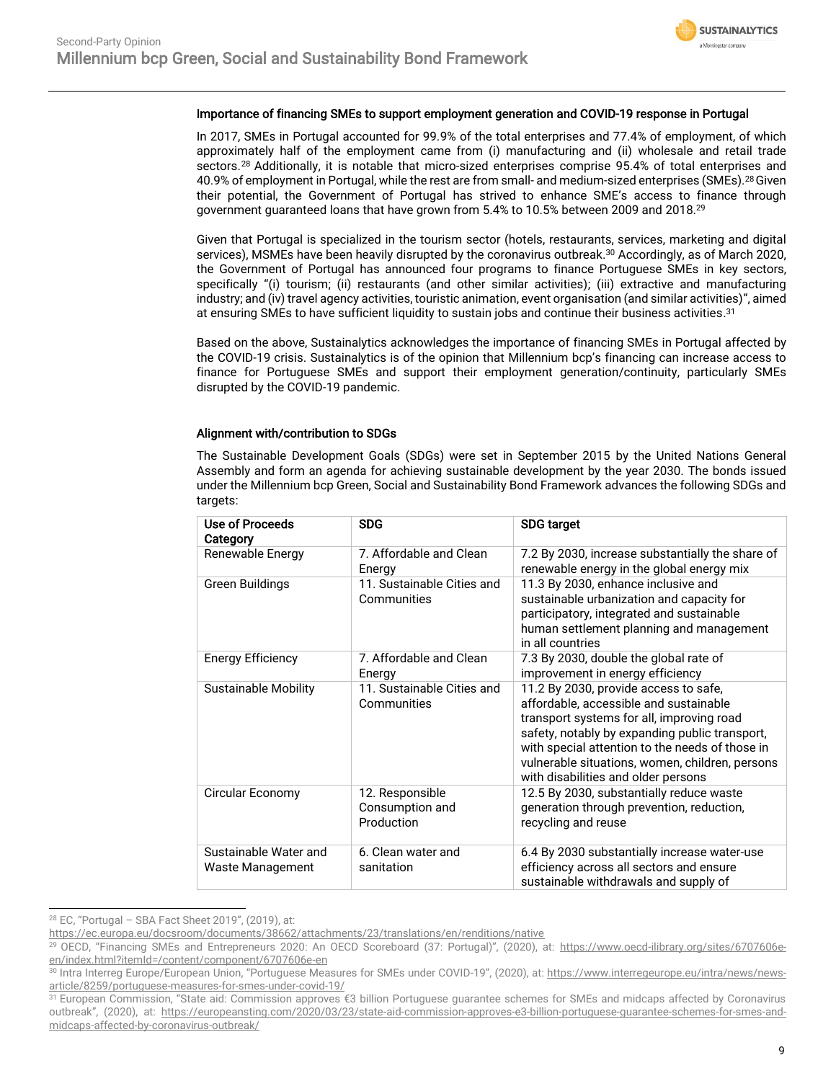

#### Importance of financing SMEs to support employment generation and COVID-19 response in Portugal

<span id="page-8-0"></span>In 2017, SMEs in Portugal accounted for 99.9% of the total enterprises and 77.4% of employment, of which approximately half of the employment came from (i) manufacturing and (ii) wholesale and retail trade sectors.<sup>28</sup> Additionally, it is notable that micro-sized enterprises comprise 95.4% of total enterprises and 40.9% of employment in Portugal, while the rest are from small- and medium-sized enterprises (SMEs).[28](#page-8-0)Given their potential, the Government of Portugal has strived to enhance SME's access to finance through government guaranteed loans that have grown from 5.4% to 10.5% between 2009 and 2018.<sup>29</sup>

Given that Portugal is specialized in the tourism sector (hotels, restaurants, services, marketing and digital services), MSMEs have been heavily disrupted by the coronavirus outbreak. <sup>30</sup> Accordingly, as of March 2020, the Government of Portugal has announced four programs to finance Portuguese SMEs in key sectors, specifically "(i) tourism; (ii) restaurants (and other similar activities); (iii) extractive and manufacturing industry; and (iv) travel agency activities, touristic animation, event organisation (and similar activities)", aimed at ensuring SMEs to have sufficient liquidity to sustain jobs and continue their business activities. $^{31}$ 

Based on the above, Sustainalytics acknowledges the importance of financing SMEs in Portugal affected by the COVID-19 crisis. Sustainalytics is of the opinion that Millennium bcp's financing can increase access to finance for Portuguese SMEs and support their employment generation/continuity, particularly SMEs disrupted by the COVID-19 pandemic.

#### Alignment with/contribution to SDGs

The Sustainable Development Goals (SDGs) were set in September 2015 by the United Nations General Assembly and form an agenda for achieving sustainable development by the year 2030. The bonds issued under the Millennium bcp Green, Social and Sustainability Bond Framework advances the following SDGs and targets:

| Use of Proceeds<br>Category               | <b>SDG</b>                                       | <b>SDG target</b>                                                                                                                                                                                                                                                                                                           |
|-------------------------------------------|--------------------------------------------------|-----------------------------------------------------------------------------------------------------------------------------------------------------------------------------------------------------------------------------------------------------------------------------------------------------------------------------|
| Renewable Energy                          | 7. Affordable and Clean<br>Energy                | 7.2 By 2030, increase substantially the share of<br>renewable energy in the global energy mix                                                                                                                                                                                                                               |
| Green Buildings                           | 11. Sustainable Cities and<br>Communities        | 11.3 By 2030, enhance inclusive and<br>sustainable urbanization and capacity for<br>participatory, integrated and sustainable<br>human settlement planning and management<br>in all countries                                                                                                                               |
| <b>Energy Efficiency</b>                  | 7. Affordable and Clean<br>Energy                | 7.3 By 2030, double the global rate of<br>improvement in energy efficiency                                                                                                                                                                                                                                                  |
| <b>Sustainable Mobility</b>               | 11. Sustainable Cities and<br>Communities        | 11.2 By 2030, provide access to safe,<br>affordable, accessible and sustainable<br>transport systems for all, improving road<br>safety, notably by expanding public transport,<br>with special attention to the needs of those in<br>vulnerable situations, women, children, persons<br>with disabilities and older persons |
| Circular Economy                          | 12. Responsible<br>Consumption and<br>Production | 12.5 By 2030, substantially reduce waste<br>generation through prevention, reduction,<br>recycling and reuse                                                                                                                                                                                                                |
| Sustainable Water and<br>Waste Management | 6. Clean water and<br>sanitation                 | 6.4 By 2030 substantially increase water-use<br>efficiency across all sectors and ensure<br>sustainable withdrawals and supply of                                                                                                                                                                                           |

<sup>28</sup> EC, "Portugal – SBA Fact Sheet 2019", (2019), at:

<https://ec.europa.eu/docsroom/documents/38662/attachments/23/translations/en/renditions/native>

<sup>&</sup>lt;sup>29</sup> OECD, "Financing SMEs and Entrepreneurs 2020: An OECD Scoreboard (37: Portugal)", (2020), at: [https://www.oecd-ilibrary.org/sites/6707606e](https://www.oecd-ilibrary.org/sites/6707606e-en/index.html?itemId=/content/component/6707606e-en)[en/index.html?itemId=/content/component/6707606e-en](https://www.oecd-ilibrary.org/sites/6707606e-en/index.html?itemId=/content/component/6707606e-en)

<sup>30</sup> Intra Interreg Europe/European Union, "Portuguese Measures for SMEs under COVID-19", (2020), at: [https://www.interregeurope.eu/intra/news/news](https://www.interregeurope.eu/intra/news/news-article/8259/portuguese-measures-for-smes-under-covid-19/)[article/8259/portuguese-measures-for-smes-under-covid-19/](https://www.interregeurope.eu/intra/news/news-article/8259/portuguese-measures-for-smes-under-covid-19/)

<sup>&</sup>lt;sup>31</sup> European Commission, "State aid: Commission approves €3 billion Portuguese guarantee schemes for SMEs and midcaps affected by Coronavirus outbreak", (2020), at: [https://europeansting.com/2020/03/23/state-aid-commission-approves-e3-billion-portuguese-guarantee-schemes-for-smes-and](https://europeansting.com/2020/03/23/state-aid-commission-approves-e3-billion-portuguese-guarantee-schemes-for-smes-and-midcaps-affected-by-coronavirus-outbreak/)[midcaps-affected-by-coronavirus-outbreak/](https://europeansting.com/2020/03/23/state-aid-commission-approves-e3-billion-portuguese-guarantee-schemes-for-smes-and-midcaps-affected-by-coronavirus-outbreak/)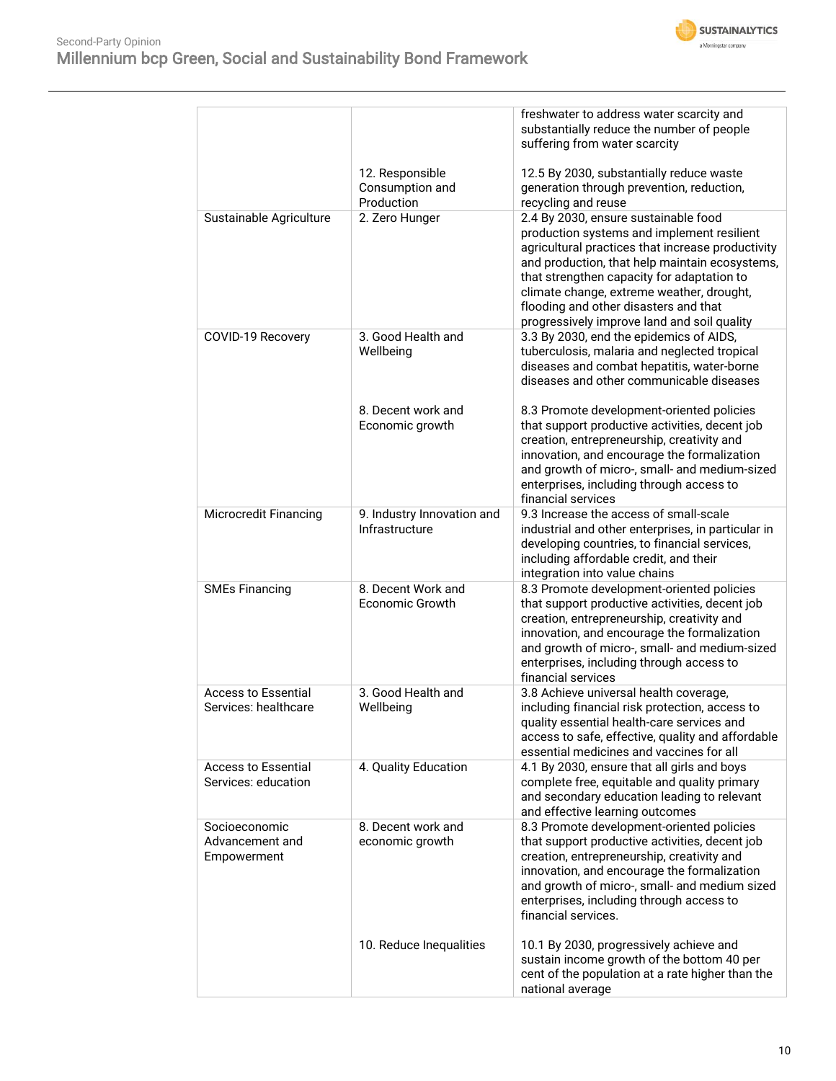

|                                                    |                                                  | freshwater to address water scarcity and<br>substantially reduce the number of people<br>suffering from water scarcity                                                                                                                                                                                                                                                       |
|----------------------------------------------------|--------------------------------------------------|------------------------------------------------------------------------------------------------------------------------------------------------------------------------------------------------------------------------------------------------------------------------------------------------------------------------------------------------------------------------------|
|                                                    | 12. Responsible<br>Consumption and<br>Production | 12.5 By 2030, substantially reduce waste<br>generation through prevention, reduction,<br>recycling and reuse                                                                                                                                                                                                                                                                 |
| Sustainable Agriculture                            | 2. Zero Hunger                                   | 2.4 By 2030, ensure sustainable food<br>production systems and implement resilient<br>agricultural practices that increase productivity<br>and production, that help maintain ecosystems,<br>that strengthen capacity for adaptation to<br>climate change, extreme weather, drought,<br>flooding and other disasters and that<br>progressively improve land and soil quality |
| COVID-19 Recovery                                  | 3. Good Health and<br>Wellbeing                  | 3.3 By 2030, end the epidemics of AIDS,<br>tuberculosis, malaria and neglected tropical<br>diseases and combat hepatitis, water-borne<br>diseases and other communicable diseases                                                                                                                                                                                            |
|                                                    | 8. Decent work and<br>Economic growth            | 8.3 Promote development-oriented policies<br>that support productive activities, decent job<br>creation, entrepreneurship, creativity and<br>innovation, and encourage the formalization<br>and growth of micro-, small- and medium-sized<br>enterprises, including through access to<br>financial services                                                                  |
| Microcredit Financing                              | 9. Industry Innovation and<br>Infrastructure     | 9.3 Increase the access of small-scale<br>industrial and other enterprises, in particular in<br>developing countries, to financial services,<br>including affordable credit, and their<br>integration into value chains                                                                                                                                                      |
| <b>SMEs Financing</b>                              | 8. Decent Work and<br><b>Economic Growth</b>     | 8.3 Promote development-oriented policies<br>that support productive activities, decent job<br>creation, entrepreneurship, creativity and<br>innovation, and encourage the formalization<br>and growth of micro-, small- and medium-sized<br>enterprises, including through access to<br>financial services                                                                  |
| <b>Access to Essential</b><br>Services: healthcare | 3. Good Health and<br>Wellbeing                  | 3.8 Achieve universal health coverage,<br>including financial risk protection, access to<br>quality essential health-care services and<br>access to safe, effective, quality and affordable<br>essential medicines and vaccines for all                                                                                                                                      |
| <b>Access to Essential</b><br>Services: education  | 4. Quality Education                             | 4.1 By 2030, ensure that all girls and boys<br>complete free, equitable and quality primary<br>and secondary education leading to relevant<br>and effective learning outcomes                                                                                                                                                                                                |
| Socioeconomic<br>Advancement and<br>Empowerment    | 8. Decent work and<br>economic growth            | 8.3 Promote development-oriented policies<br>that support productive activities, decent job<br>creation, entrepreneurship, creativity and<br>innovation, and encourage the formalization<br>and growth of micro-, small- and medium sized<br>enterprises, including through access to<br>financial services.                                                                 |
|                                                    | 10. Reduce Inequalities                          | 10.1 By 2030, progressively achieve and<br>sustain income growth of the bottom 40 per<br>cent of the population at a rate higher than the<br>national average                                                                                                                                                                                                                |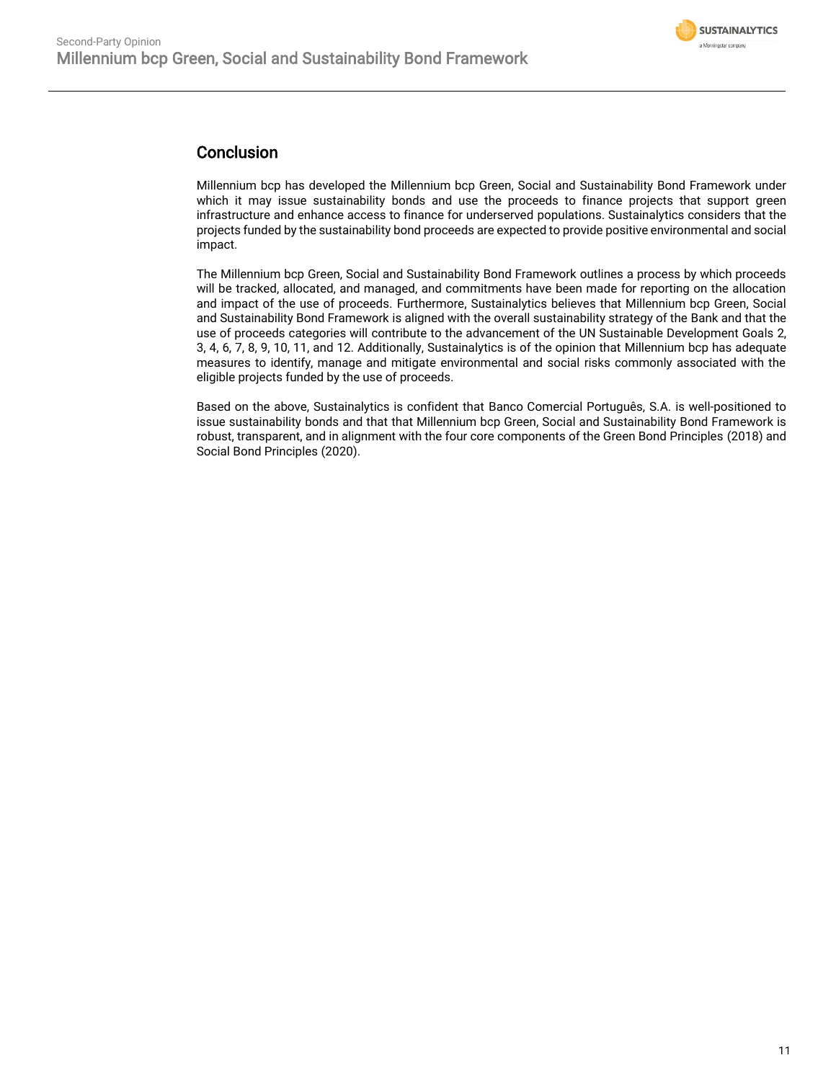

### Conclusion

Millennium bcp has developed the Millennium bcp Green, Social and Sustainability Bond Framework under which it may issue sustainability bonds and use the proceeds to finance projects that support green infrastructure and enhance access to finance for underserved populations. Sustainalytics considers that the projects funded by the sustainability bond proceeds are expected to provide positive environmental and social impact.

The Millennium bcp Green, Social and Sustainability Bond Framework outlines a process by which proceeds will be tracked, allocated, and managed, and commitments have been made for reporting on the allocation and impact of the use of proceeds. Furthermore, Sustainalytics believes that Millennium bcp Green, Social and Sustainability Bond Framework is aligned with the overall sustainability strategy of the Bank and that the use of proceeds categories will contribute to the advancement of the UN Sustainable Development Goals 2, 3, 4, 6, 7, 8, 9, 10, 11, and 12. Additionally, Sustainalytics is of the opinion that Millennium bcp has adequate measures to identify, manage and mitigate environmental and social risks commonly associated with the eligible projects funded by the use of proceeds.

Based on the above, Sustainalytics is confident that Banco Comercial Português, S.A. is well-positioned to issue sustainability bonds and that that Millennium bcp Green, Social and Sustainability Bond Framework is robust, transparent, and in alignment with the four core components of the Green Bond Principles (2018) and Social Bond Principles (2020).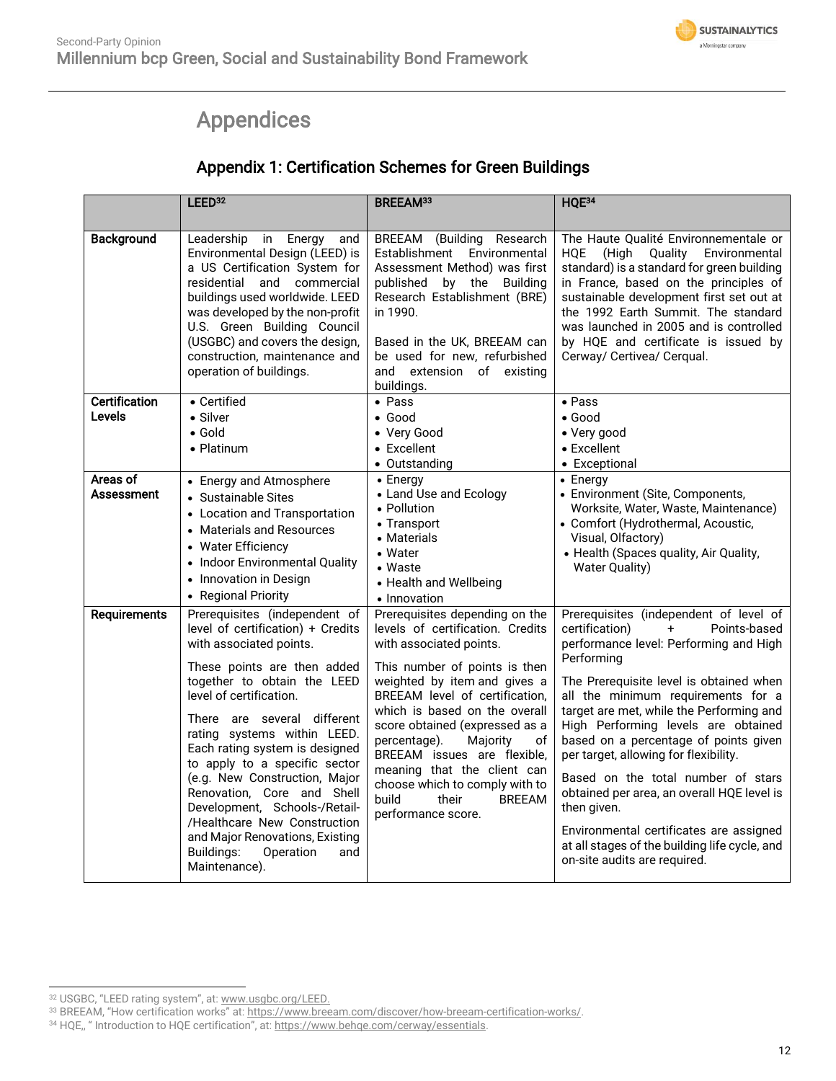## Appendices

## Appendix 1: Certification Schemes for Green Buildings

<span id="page-11-0"></span>

|                               | LEED <sup>32</sup>                                                                                                                                                                                                                                                                                                                                                                                                                                                                                                                            | BREEAM <sup>33</sup>                                                                                                                                                                                                                                                                                                                                                                                                                                           | HQE34                                                                                                                                                                                                                                                                                                                                                                                                                                                                                                                                                                                                                        |
|-------------------------------|-----------------------------------------------------------------------------------------------------------------------------------------------------------------------------------------------------------------------------------------------------------------------------------------------------------------------------------------------------------------------------------------------------------------------------------------------------------------------------------------------------------------------------------------------|----------------------------------------------------------------------------------------------------------------------------------------------------------------------------------------------------------------------------------------------------------------------------------------------------------------------------------------------------------------------------------------------------------------------------------------------------------------|------------------------------------------------------------------------------------------------------------------------------------------------------------------------------------------------------------------------------------------------------------------------------------------------------------------------------------------------------------------------------------------------------------------------------------------------------------------------------------------------------------------------------------------------------------------------------------------------------------------------------|
| Background                    | in Energy<br>Leadership<br>and<br>Environmental Design (LEED) is<br>a US Certification System for<br>residential<br>and commercial<br>buildings used worldwide. LEED<br>was developed by the non-profit<br>U.S. Green Building Council<br>(USGBC) and covers the design,<br>construction, maintenance and<br>operation of buildings.                                                                                                                                                                                                          | BREEAM (Building Research<br>Establishment Environmental<br>Assessment Method) was first<br>published by the Building<br>Research Establishment (BRE)<br>in 1990.<br>Based in the UK, BREEAM can<br>be used for new, refurbished<br>and extension of existing<br>buildings.                                                                                                                                                                                    | The Haute Qualité Environnementale or<br><b>HQE</b><br>Environmental<br>(High<br>Quality<br>standard) is a standard for green building<br>in France, based on the principles of<br>sustainable development first set out at<br>the 1992 Earth Summit. The standard<br>was launched in 2005 and is controlled<br>by HQE and certificate is issued by<br>Cerway/ Certivea/ Cerqual.                                                                                                                                                                                                                                            |
| Certification<br>Levels       | • Certified<br>• Silver<br>$\bullet$ Gold<br>• Platinum                                                                                                                                                                                                                                                                                                                                                                                                                                                                                       | $\bullet$ Pass<br>$\bullet$ Good<br>• Very Good<br>• Excellent<br>• Outstanding                                                                                                                                                                                                                                                                                                                                                                                | $\bullet$ Pass<br>$\bullet$ Good<br>• Very good<br>• Excellent<br>• Exceptional                                                                                                                                                                                                                                                                                                                                                                                                                                                                                                                                              |
| Areas of<br><b>Assessment</b> | • Energy and Atmosphere<br>• Sustainable Sites<br>• Location and Transportation<br>• Materials and Resources<br>• Water Efficiency<br>• Indoor Environmental Quality<br>• Innovation in Design<br>• Regional Priority                                                                                                                                                                                                                                                                                                                         | $\bullet$ Energy<br>• Land Use and Ecology<br>• Pollution<br>• Transport<br>• Materials<br>• Water<br>• Waste<br>• Health and Wellbeing<br>• Innovation                                                                                                                                                                                                                                                                                                        | • Energy<br>• Environment (Site, Components,<br>Worksite, Water, Waste, Maintenance)<br>• Comfort (Hydrothermal, Acoustic,<br>Visual, Olfactory)<br>• Health (Spaces quality, Air Quality,<br><b>Water Quality)</b>                                                                                                                                                                                                                                                                                                                                                                                                          |
| <b>Requirements</b>           | Prerequisites (independent of<br>level of certification) + Credits<br>with associated points.<br>These points are then added<br>together to obtain the LEED<br>level of certification.<br>There are several different<br>rating systems within LEED.<br>Each rating system is designed<br>to apply to a specific sector<br>(e.g. New Construction, Major<br>Renovation, Core and Shell<br>Development, Schools-/Retail-<br>/Healthcare New Construction<br>and Major Renovations, Existing<br>Buildings:<br>Operation<br>and<br>Maintenance). | Prerequisites depending on the<br>levels of certification. Credits<br>with associated points.<br>This number of points is then<br>weighted by item and gives a<br>BREEAM level of certification,<br>which is based on the overall<br>score obtained (expressed as a<br>percentage).<br>Majority<br>оf<br>BREEAM issues are flexible,<br>meaning that the client can<br>choose which to comply with to<br>build<br>their<br><b>BREEAM</b><br>performance score. | Prerequisites (independent of level of<br>certification)<br>Points-based<br>$+$<br>performance level: Performing and High<br>Performing<br>The Prerequisite level is obtained when<br>all the minimum requirements for a<br>target are met, while the Performing and<br>High Performing levels are obtained<br>based on a percentage of points given<br>per target, allowing for flexibility.<br>Based on the total number of stars<br>obtained per area, an overall HQE level is<br>then given.<br>Environmental certificates are assigned<br>at all stages of the building life cycle, and<br>on-site audits are required. |

<sup>32</sup> USGBC, "LEED rating system", at: [www.usgbc.org/LEED.](http://www.usgbc.org/LEED)

<sup>&</sup>lt;sup>33</sup> BREEAM, "How certification works" at: <u>https://www.breeam.com/discover/how-breeam-certification-works/</u>.

<sup>34</sup> HQE,, " Introduction to HQE certification", at: [https://www.behqe.com/cerway/essentials.](https://www.behqe.com/cerway/essentials)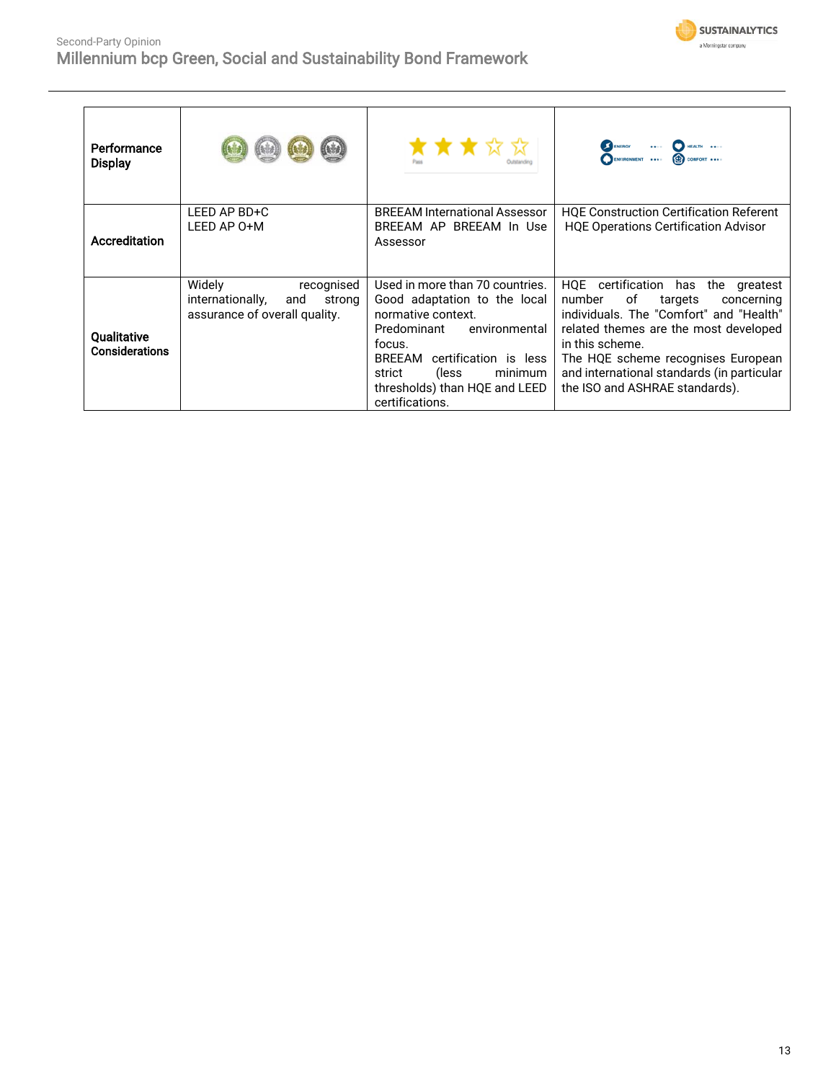



| Performance<br><b>Display</b> |                                                                                            | ★★★☆☆                                                                                                                                                                                                                                              |                                                                                                                                                                                                                                                                                                             |
|-------------------------------|--------------------------------------------------------------------------------------------|----------------------------------------------------------------------------------------------------------------------------------------------------------------------------------------------------------------------------------------------------|-------------------------------------------------------------------------------------------------------------------------------------------------------------------------------------------------------------------------------------------------------------------------------------------------------------|
| Accreditation                 | LEED AP BD+C<br>LEED AP 0+M                                                                | <b>BREEAM International Assessor</b><br>BREEAM AP BREEAM In Use<br>Assessor                                                                                                                                                                        | <b>HQE Construction Certification Referent</b><br><b>HQE Operations Certification Advisor</b>                                                                                                                                                                                                               |
| Qualitative<br>Considerations | Widely<br>recognised<br>internationally,<br>and<br>strong<br>assurance of overall quality. | Used in more than 70 countries.<br>Good adaptation to the local<br>normative context.<br>Predominant<br>environmental<br>focus.<br>BREEAM certification is less<br>minimum<br>strict<br>(less)<br>thresholds) than HQE and LEED<br>certifications. | HQE certification has the<br>greatest<br>number<br>of<br>targets<br>concerning<br>individuals. The "Comfort" and "Health"<br>related themes are the most developed<br>in this scheme.<br>The HQE scheme recognises European<br>and international standards (in particular<br>the ISO and ASHRAE standards). |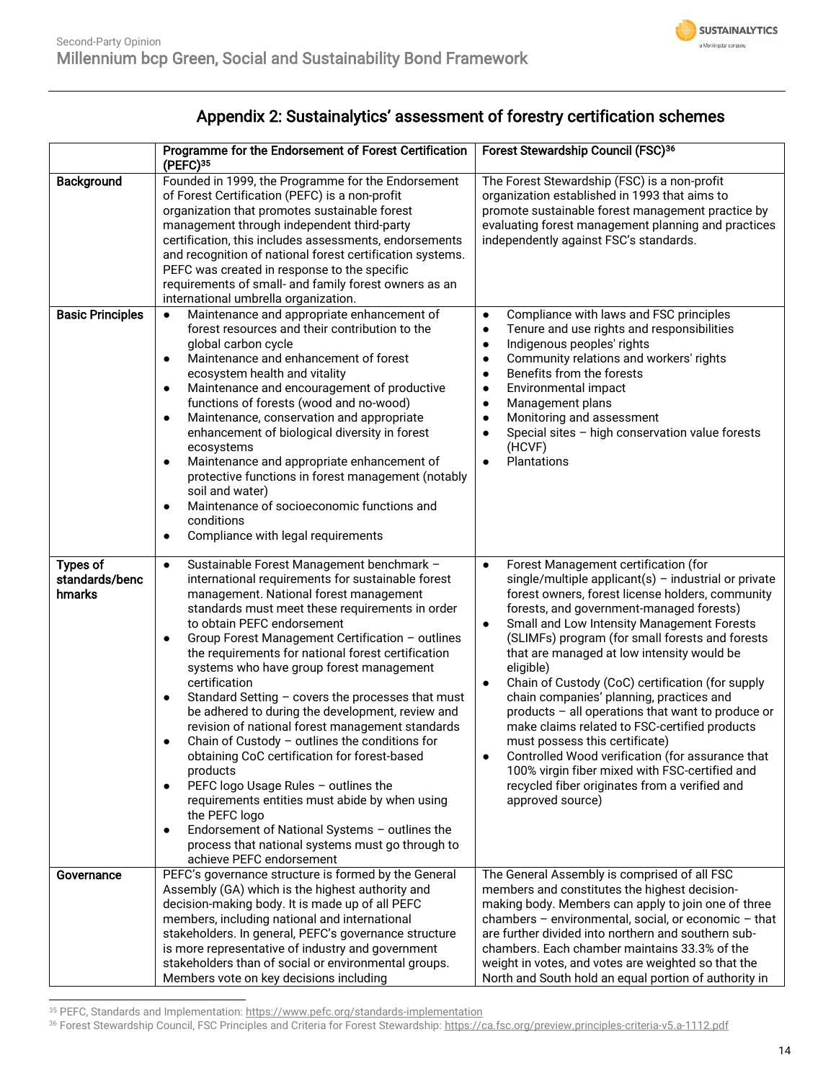

## Appendix 2: Sustainalytics' assessment of forestry certification schemes

|                                             | Programme for the Endorsement of Forest Certification<br>(PEFC) <sup>35</sup>                                                                                                                                                                                                                                                                                                                                                                                                                                                                                                                                                                                                                                                                                                                                                                                                                                                                                                    | Forest Stewardship Council (FSC)36                                                                                                                                                                                                                                                                                                                                                                                                                                                                                                                                                                                                                                                                                                                                                                                        |
|---------------------------------------------|----------------------------------------------------------------------------------------------------------------------------------------------------------------------------------------------------------------------------------------------------------------------------------------------------------------------------------------------------------------------------------------------------------------------------------------------------------------------------------------------------------------------------------------------------------------------------------------------------------------------------------------------------------------------------------------------------------------------------------------------------------------------------------------------------------------------------------------------------------------------------------------------------------------------------------------------------------------------------------|---------------------------------------------------------------------------------------------------------------------------------------------------------------------------------------------------------------------------------------------------------------------------------------------------------------------------------------------------------------------------------------------------------------------------------------------------------------------------------------------------------------------------------------------------------------------------------------------------------------------------------------------------------------------------------------------------------------------------------------------------------------------------------------------------------------------------|
| Background                                  | Founded in 1999, the Programme for the Endorsement<br>of Forest Certification (PEFC) is a non-profit<br>organization that promotes sustainable forest<br>management through independent third-party<br>certification, this includes assessments, endorsements<br>and recognition of national forest certification systems.<br>PEFC was created in response to the specific<br>requirements of small- and family forest owners as an<br>international umbrella organization.                                                                                                                                                                                                                                                                                                                                                                                                                                                                                                      | The Forest Stewardship (FSC) is a non-profit<br>organization established in 1993 that aims to<br>promote sustainable forest management practice by<br>evaluating forest management planning and practices<br>independently against FSC's standards.                                                                                                                                                                                                                                                                                                                                                                                                                                                                                                                                                                       |
| <b>Basic Principles</b>                     | Maintenance and appropriate enhancement of<br>$\bullet$<br>forest resources and their contribution to the<br>global carbon cycle<br>Maintenance and enhancement of forest<br>$\bullet$<br>ecosystem health and vitality<br>Maintenance and encouragement of productive<br>$\bullet$<br>functions of forests (wood and no-wood)<br>Maintenance, conservation and appropriate<br>$\bullet$<br>enhancement of biological diversity in forest<br>ecosystems<br>Maintenance and appropriate enhancement of<br>$\bullet$<br>protective functions in forest management (notably<br>soil and water)<br>Maintenance of socioeconomic functions and<br>$\bullet$<br>conditions<br>Compliance with legal requirements<br>٠                                                                                                                                                                                                                                                                  | Compliance with laws and FSC principles<br>$\bullet$<br>Tenure and use rights and responsibilities<br>$\bullet$<br>Indigenous peoples' rights<br>$\bullet$<br>Community relations and workers' rights<br>٠<br>Benefits from the forests<br>$\bullet$<br>Environmental impact<br>$\bullet$<br>Management plans<br>$\bullet$<br>Monitoring and assessment<br>٠<br>Special sites - high conservation value forests<br>٠<br>(HCVF)<br>Plantations<br>$\bullet$                                                                                                                                                                                                                                                                                                                                                                |
| <b>Types of</b><br>standards/benc<br>hmarks | Sustainable Forest Management benchmark -<br>$\bullet$<br>international requirements for sustainable forest<br>management. National forest management<br>standards must meet these requirements in order<br>to obtain PEFC endorsement<br>Group Forest Management Certification - outlines<br>$\bullet$<br>the requirements for national forest certification<br>systems who have group forest management<br>certification<br>Standard Setting - covers the processes that must<br>٠<br>be adhered to during the development, review and<br>revision of national forest management standards<br>Chain of Custody $-$ outlines the conditions for<br>٠<br>obtaining CoC certification for forest-based<br>products<br>PEFC logo Usage Rules - outlines the<br>$\bullet$<br>requirements entities must abide by when using<br>the PEFC logo<br>Endorsement of National Systems - outlines the<br>٠<br>process that national systems must go through to<br>achieve PEFC endorsement | Forest Management certification (for<br>$\bullet$<br>single/multiple applicant(s) $-$ industrial or private<br>forest owners, forest license holders, community<br>forests, and government-managed forests)<br>Small and Low Intensity Management Forests<br>$\bullet$<br>(SLIMFs) program (for small forests and forests<br>that are managed at low intensity would be<br>eligible)<br>Chain of Custody (CoC) certification (for supply<br>$\bullet$<br>chain companies' planning, practices and<br>products - all operations that want to produce or<br>make claims related to FSC-certified products<br>must possess this certificate)<br>Controlled Wood verification (for assurance that<br>٠<br>100% virgin fiber mixed with FSC-certified and<br>recycled fiber originates from a verified and<br>approved source) |
| Governance                                  | PEFC's governance structure is formed by the General<br>Assembly (GA) which is the highest authority and<br>decision-making body. It is made up of all PEFC<br>members, including national and international<br>stakeholders. In general, PEFC's governance structure<br>is more representative of industry and government<br>stakeholders than of social or environmental groups.<br>Members vote on key decisions including                                                                                                                                                                                                                                                                                                                                                                                                                                                                                                                                                    | The General Assembly is comprised of all FSC<br>members and constitutes the highest decision-<br>making body. Members can apply to join one of three<br>chambers - environmental, social, or economic - that<br>are further divided into northern and southern sub-<br>chambers. Each chamber maintains 33.3% of the<br>weight in votes, and votes are weighted so that the<br>North and South hold an equal portion of authority in                                                                                                                                                                                                                                                                                                                                                                                      |

<sup>&</sup>lt;sup>35</sup> PEFC, Standards and Implementation:<https://www.pefc.org/standards-implementation>

<sup>&</sup>lt;sup>36</sup> Forest Stewardship Council, FSC Principles and Criteria for Forest Stewardship: <u>https://ca.fsc.org/preview.principles-criteria-v5.a-1112.pdf</u>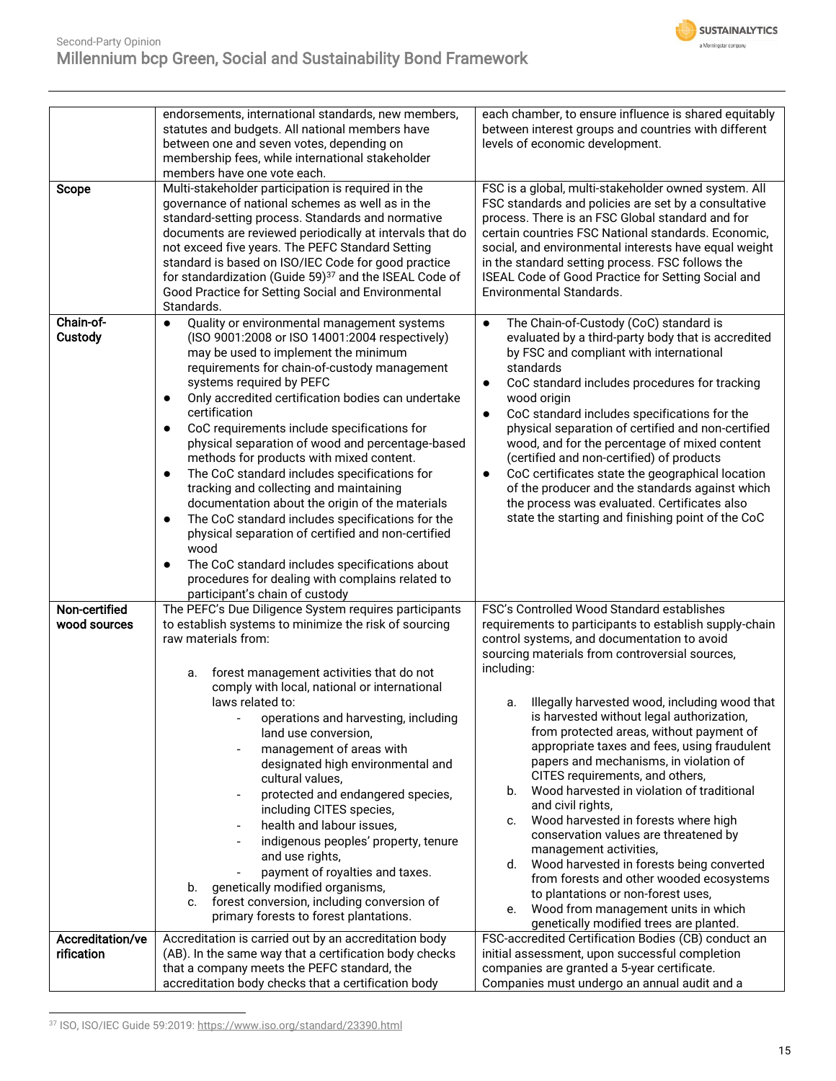

| Scope                          | endorsements, international standards, new members,<br>statutes and budgets. All national members have<br>between one and seven votes, depending on<br>membership fees, while international stakeholder<br>members have one vote each.<br>Multi-stakeholder participation is required in the<br>governance of national schemes as well as in the<br>standard-setting process. Standards and normative<br>documents are reviewed periodically at intervals that do<br>not exceed five years. The PEFC Standard Setting<br>standard is based on ISO/IEC Code for good practice<br>for standardization (Guide 59) <sup>37</sup> and the ISEAL Code of<br>Good Practice for Setting Social and Environmental                                                                                                                                                                                                                      | each chamber, to ensure influence is shared equitably<br>between interest groups and countries with different<br>levels of economic development.<br>FSC is a global, multi-stakeholder owned system. All<br>FSC standards and policies are set by a consultative<br>process. There is an FSC Global standard and for<br>certain countries FSC National standards. Economic,<br>social, and environmental interests have equal weight<br>in the standard setting process. FSC follows the<br>ISEAL Code of Good Practice for Setting Social and<br><b>Environmental Standards.</b>                                                                                                                                                                                                                                                                                      |
|--------------------------------|-------------------------------------------------------------------------------------------------------------------------------------------------------------------------------------------------------------------------------------------------------------------------------------------------------------------------------------------------------------------------------------------------------------------------------------------------------------------------------------------------------------------------------------------------------------------------------------------------------------------------------------------------------------------------------------------------------------------------------------------------------------------------------------------------------------------------------------------------------------------------------------------------------------------------------|------------------------------------------------------------------------------------------------------------------------------------------------------------------------------------------------------------------------------------------------------------------------------------------------------------------------------------------------------------------------------------------------------------------------------------------------------------------------------------------------------------------------------------------------------------------------------------------------------------------------------------------------------------------------------------------------------------------------------------------------------------------------------------------------------------------------------------------------------------------------|
|                                | Standards.                                                                                                                                                                                                                                                                                                                                                                                                                                                                                                                                                                                                                                                                                                                                                                                                                                                                                                                    |                                                                                                                                                                                                                                                                                                                                                                                                                                                                                                                                                                                                                                                                                                                                                                                                                                                                        |
| Chain-of-<br>Custody           | Quality or environmental management systems<br>$\bullet$<br>(ISO 9001:2008 or ISO 14001:2004 respectively)<br>may be used to implement the minimum<br>requirements for chain-of-custody management<br>systems required by PEFC<br>Only accredited certification bodies can undertake<br>$\bullet$<br>certification<br>CoC requirements include specifications for<br>$\bullet$<br>physical separation of wood and percentage-based<br>methods for products with mixed content.<br>The CoC standard includes specifications for<br>$\bullet$<br>tracking and collecting and maintaining<br>documentation about the origin of the materials<br>The CoC standard includes specifications for the<br>$\bullet$<br>physical separation of certified and non-certified<br>wood<br>The CoC standard includes specifications about<br>$\bullet$<br>procedures for dealing with complains related to<br>participant's chain of custody | The Chain-of-Custody (CoC) standard is<br>$\bullet$<br>evaluated by a third-party body that is accredited<br>by FSC and compliant with international<br>standards<br>CoC standard includes procedures for tracking<br>$\bullet$<br>wood origin<br>CoC standard includes specifications for the<br>$\bullet$<br>physical separation of certified and non-certified<br>wood, and for the percentage of mixed content<br>(certified and non-certified) of products<br>CoC certificates state the geographical location<br>$\bullet$<br>of the producer and the standards against which<br>the process was evaluated. Certificates also<br>state the starting and finishing point of the CoC                                                                                                                                                                               |
| Non-certified                  | The PEFC's Due Diligence System requires participants                                                                                                                                                                                                                                                                                                                                                                                                                                                                                                                                                                                                                                                                                                                                                                                                                                                                         | FSC's Controlled Wood Standard establishes                                                                                                                                                                                                                                                                                                                                                                                                                                                                                                                                                                                                                                                                                                                                                                                                                             |
| wood sources                   | to establish systems to minimize the risk of sourcing<br>raw materials from:<br>forest management activities that do not<br>a.<br>comply with local, national or international<br>laws related to:<br>operations and harvesting, including<br>land use conversion,<br>management of areas with<br>designated high environmental and<br>cultural values,<br>protected and endangered species,<br>$\overline{\phantom{0}}$<br>including CITES species,<br>health and labour issues,<br>$\overline{\phantom{a}}$<br>indigenous peoples' property, tenure<br>and use rights,<br>payment of royalties and taxes.<br>genetically modified organisms,<br>b.<br>forest conversion, including conversion of<br>c.<br>primary forests to forest plantations.                                                                                                                                                                            | requirements to participants to establish supply-chain<br>control systems, and documentation to avoid<br>sourcing materials from controversial sources,<br>including:<br>Illegally harvested wood, including wood that<br>а.<br>is harvested without legal authorization,<br>from protected areas, without payment of<br>appropriate taxes and fees, using fraudulent<br>papers and mechanisms, in violation of<br>CITES requirements, and others,<br>Wood harvested in violation of traditional<br>b.<br>and civil rights,<br>Wood harvested in forests where high<br>c.<br>conservation values are threatened by<br>management activities,<br>d. Wood harvested in forests being converted<br>from forests and other wooded ecosystems<br>to plantations or non-forest uses,<br>Wood from management units in which<br>е.<br>genetically modified trees are planted. |
| Accreditation/ve<br>rification | Accreditation is carried out by an accreditation body<br>(AB). In the same way that a certification body checks<br>that a company meets the PEFC standard, the<br>accreditation body checks that a certification body                                                                                                                                                                                                                                                                                                                                                                                                                                                                                                                                                                                                                                                                                                         | FSC-accredited Certification Bodies (CB) conduct an<br>initial assessment, upon successful completion<br>companies are granted a 5-year certificate.<br>Companies must undergo an annual audit and a                                                                                                                                                                                                                                                                                                                                                                                                                                                                                                                                                                                                                                                                   |

<sup>37</sup> ISO, ISO/IEC Guide 59:2019[: https://www.iso.org/standard/23390.html](https://www.iso.org/standard/23390.html)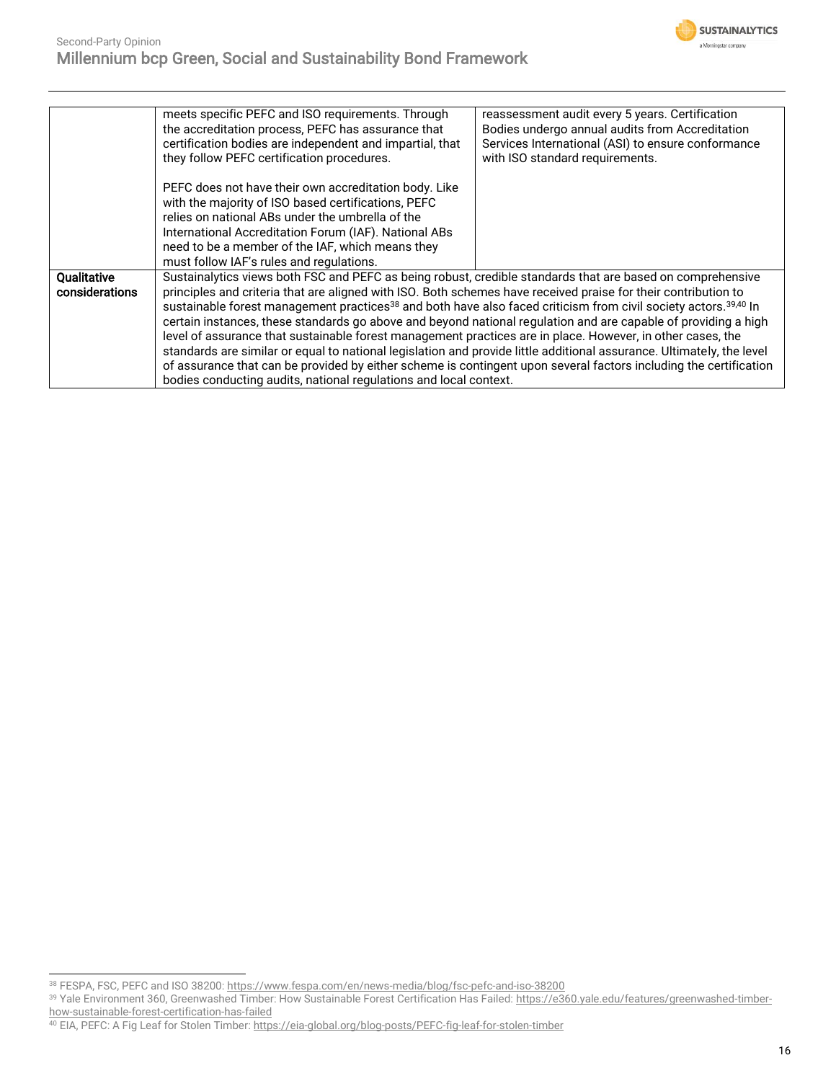

|                | meets specific PEFC and ISO requirements. Through                                                                                       | reassessment audit every 5 years. Certification    |
|----------------|-----------------------------------------------------------------------------------------------------------------------------------------|----------------------------------------------------|
|                | the accreditation process, PEFC has assurance that                                                                                      | Bodies undergo annual audits from Accreditation    |
|                | certification bodies are independent and impartial, that                                                                                | Services International (ASI) to ensure conformance |
|                | they follow PEFC certification procedures.                                                                                              | with ISO standard requirements.                    |
|                |                                                                                                                                         |                                                    |
|                | PEFC does not have their own accreditation body. Like                                                                                   |                                                    |
|                | with the majority of ISO based certifications, PEFC                                                                                     |                                                    |
|                | relies on national ABs under the umbrella of the                                                                                        |                                                    |
|                | International Accreditation Forum (IAF). National ABs                                                                                   |                                                    |
|                | need to be a member of the IAF, which means they                                                                                        |                                                    |
|                | must follow IAF's rules and regulations.                                                                                                |                                                    |
| Qualitative    | Sustainalytics views both FSC and PEFC as being robust, credible standards that are based on comprehensive                              |                                                    |
| considerations | principles and criteria that are aligned with ISO. Both schemes have received praise for their contribution to                          |                                                    |
|                | sustainable forest management practices <sup>38</sup> and both have also faced criticism from civil society actors. <sup>39,40</sup> In |                                                    |
|                | certain instances, these standards go above and beyond national regulation and are capable of providing a high                          |                                                    |
|                | level of assurance that sustainable forest management practices are in place. However, in other cases, the                              |                                                    |
|                | standards are similar or equal to national legislation and provide little additional assurance. Ultimately, the level                   |                                                    |
|                | of assurance that can be provided by either scheme is contingent upon several factors including the certification                       |                                                    |
|                | bodies conducting audits, national regulations and local context.                                                                       |                                                    |

<sup>38</sup> FESPA, FSC, PEFC and ISO 38200[: https://www.fespa.com/en/news-media/blog/fsc-pefc-and-iso-38200](https://www.fespa.com/en/news-media/blog/fsc-pefc-and-iso-38200)

<sup>39</sup> Yale Environment 360, Greenwashed Timber: How Sustainable Forest Certification Has Failed: [https://e360.yale.edu/features/greenwashed-timber](https://e360.yale.edu/features/greenwashed-timber-how-sustainable-forest-certification-has-failed)[how-sustainable-forest-certification-has-failed](https://e360.yale.edu/features/greenwashed-timber-how-sustainable-forest-certification-has-failed)

<sup>&</sup>lt;sup>40</sup> EIA, PEFC: A Fig Leaf for Stolen Timber: <u>https://eia-global.org/blog-posts/PEFC-fig-leaf-for-stolen-timber</u>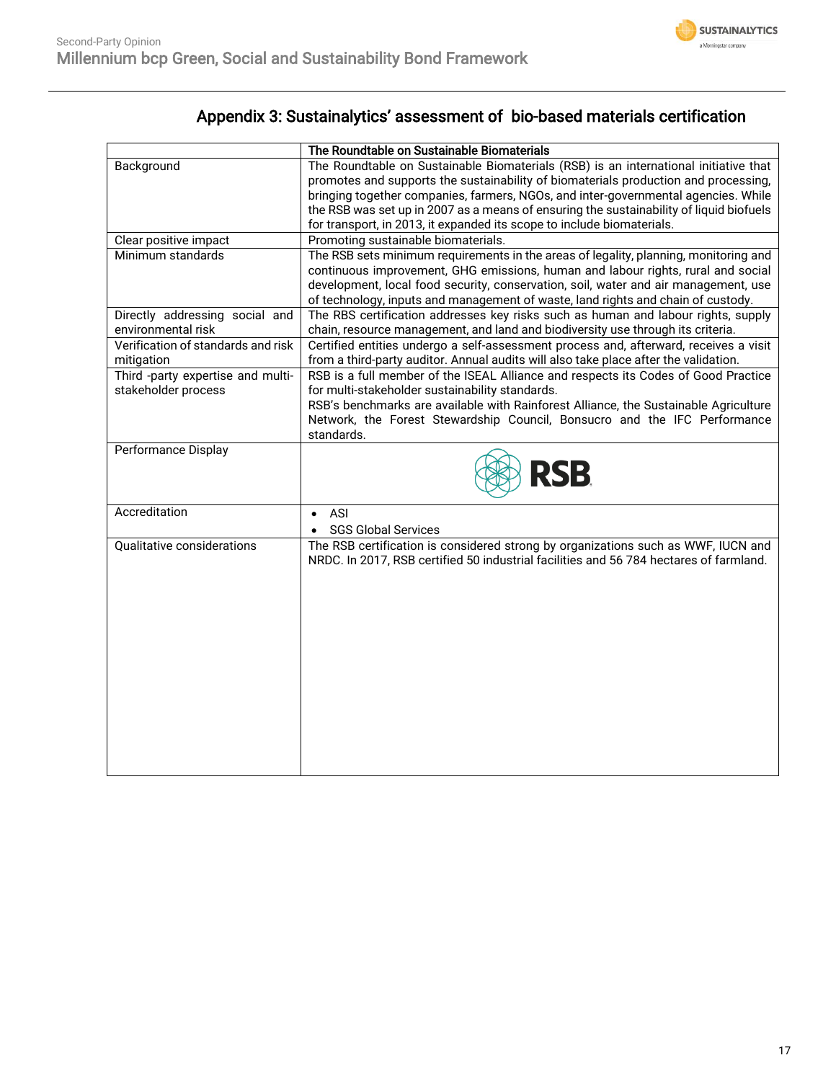

## Appendix 3: Sustainalytics' assessment of bio-based materials certification

|                                    | The Roundtable on Sustainable Biomaterials                                              |
|------------------------------------|-----------------------------------------------------------------------------------------|
| Background                         | The Roundtable on Sustainable Biomaterials (RSB) is an international initiative that    |
|                                    | promotes and supports the sustainability of biomaterials production and processing,     |
|                                    | bringing together companies, farmers, NGOs, and inter-governmental agencies. While      |
|                                    | the RSB was set up in 2007 as a means of ensuring the sustainability of liquid biofuels |
|                                    | for transport, in 2013, it expanded its scope to include biomaterials.                  |
| Clear positive impact              | Promoting sustainable biomaterials.                                                     |
| Minimum standards                  | The RSB sets minimum requirements in the areas of legality, planning, monitoring and    |
|                                    | continuous improvement, GHG emissions, human and labour rights, rural and social        |
|                                    | development, local food security, conservation, soil, water and air management, use     |
|                                    | of technology, inputs and management of waste, land rights and chain of custody.        |
| Directly addressing social and     | The RBS certification addresses key risks such as human and labour rights, supply       |
| environmental risk                 | chain, resource management, and land and biodiversity use through its criteria.         |
| Verification of standards and risk | Certified entities undergo a self-assessment process and, afterward, receives a visit   |
| mitigation                         | from a third-party auditor. Annual audits will also take place after the validation.    |
| Third -party expertise and multi-  | RSB is a full member of the ISEAL Alliance and respects its Codes of Good Practice      |
| stakeholder process                | for multi-stakeholder sustainability standards.                                         |
|                                    | RSB's benchmarks are available with Rainforest Alliance, the Sustainable Agriculture    |
|                                    | Network, the Forest Stewardship Council, Bonsucro and the IFC Performance               |
|                                    | standards.                                                                              |
| <b>Performance Display</b>         |                                                                                         |
|                                    | <b>RSB</b>                                                                              |
|                                    |                                                                                         |
| Accreditation                      | ASI<br>$\bullet$                                                                        |
|                                    | <b>SGS Global Services</b>                                                              |
| Qualitative considerations         | The RSB certification is considered strong by organizations such as WWF, IUCN and       |
|                                    | NRDC. In 2017, RSB certified 50 industrial facilities and 56 784 hectares of farmland.  |
|                                    |                                                                                         |
|                                    |                                                                                         |
|                                    |                                                                                         |
|                                    |                                                                                         |
|                                    |                                                                                         |
|                                    |                                                                                         |
|                                    |                                                                                         |
|                                    |                                                                                         |
|                                    |                                                                                         |
|                                    |                                                                                         |
|                                    |                                                                                         |
|                                    |                                                                                         |
|                                    |                                                                                         |
|                                    |                                                                                         |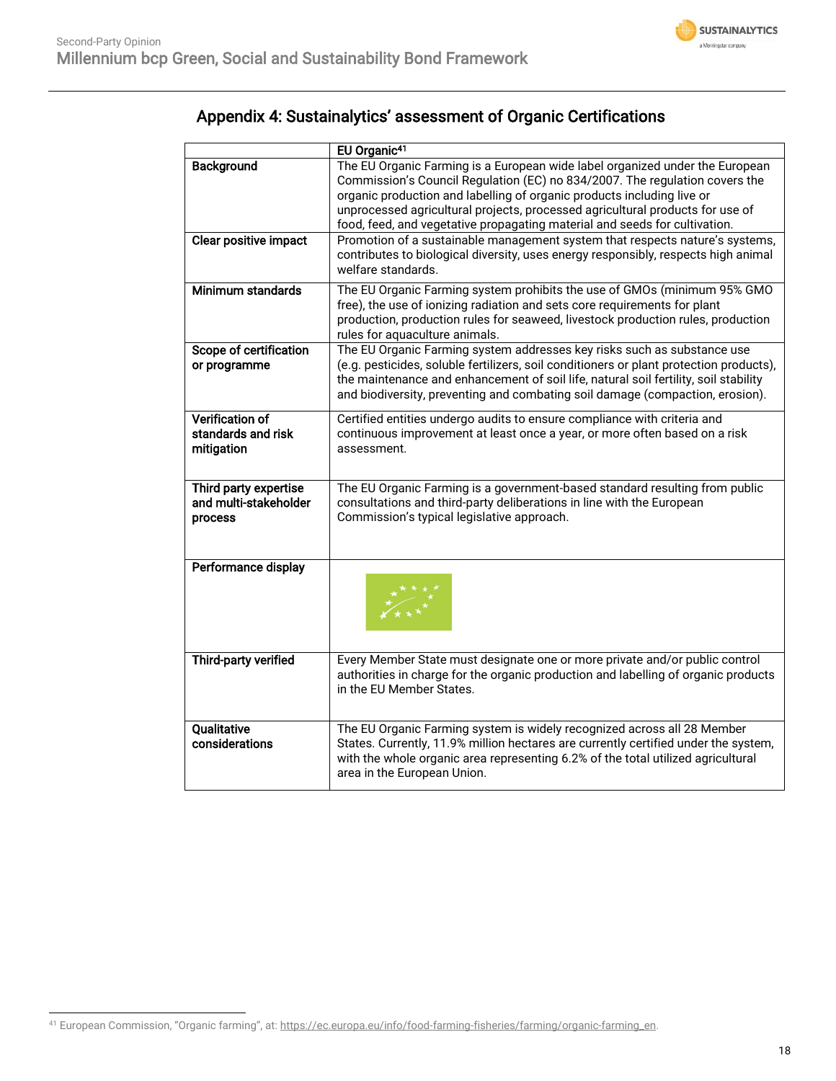

|                                                            | EU Organic <sup>41</sup>                                                                                                                                                                                                                                                                                                                                                                             |
|------------------------------------------------------------|------------------------------------------------------------------------------------------------------------------------------------------------------------------------------------------------------------------------------------------------------------------------------------------------------------------------------------------------------------------------------------------------------|
| Background                                                 | The EU Organic Farming is a European wide label organized under the European<br>Commission's Council Regulation (EC) no 834/2007. The regulation covers the<br>organic production and labelling of organic products including live or<br>unprocessed agricultural projects, processed agricultural products for use of<br>food, feed, and vegetative propagating material and seeds for cultivation. |
| Clear positive impact                                      | Promotion of a sustainable management system that respects nature's systems,<br>contributes to biological diversity, uses energy responsibly, respects high animal<br>welfare standards.                                                                                                                                                                                                             |
| Minimum standards                                          | The EU Organic Farming system prohibits the use of GMOs (minimum 95% GMO<br>free), the use of ionizing radiation and sets core requirements for plant<br>production, production rules for seaweed, livestock production rules, production<br>rules for aquaculture animals.                                                                                                                          |
| Scope of certification<br>or programme                     | The EU Organic Farming system addresses key risks such as substance use<br>(e.g. pesticides, soluble fertilizers, soil conditioners or plant protection products),<br>the maintenance and enhancement of soil life, natural soil fertility, soil stability<br>and biodiversity, preventing and combating soil damage (compaction, erosion).                                                          |
| <b>Verification of</b><br>standards and risk<br>mitigation | Certified entities undergo audits to ensure compliance with criteria and<br>continuous improvement at least once a year, or more often based on a risk<br>assessment.                                                                                                                                                                                                                                |
| Third party expertise<br>and multi-stakeholder<br>process  | The EU Organic Farming is a government-based standard resulting from public<br>consultations and third-party deliberations in line with the European<br>Commission's typical legislative approach.                                                                                                                                                                                                   |
| Performance display                                        |                                                                                                                                                                                                                                                                                                                                                                                                      |
| Third-party verified                                       | Every Member State must designate one or more private and/or public control<br>authorities in charge for the organic production and labelling of organic products<br>in the EU Member States.                                                                                                                                                                                                        |
| Qualitative<br>considerations                              | The EU Organic Farming system is widely recognized across all 28 Member<br>States. Currently, 11.9% million hectares are currently certified under the system,<br>with the whole organic area representing 6.2% of the total utilized agricultural<br>area in the European Union.                                                                                                                    |

## Appendix 4: Sustainalytics' assessment of Organic Certifications

<sup>&</sup>lt;sup>41</sup> European Commission, "Organic farming", at: https://ec.europa.eu/info/food-farming-fisheries/farming/organic-farming\_en.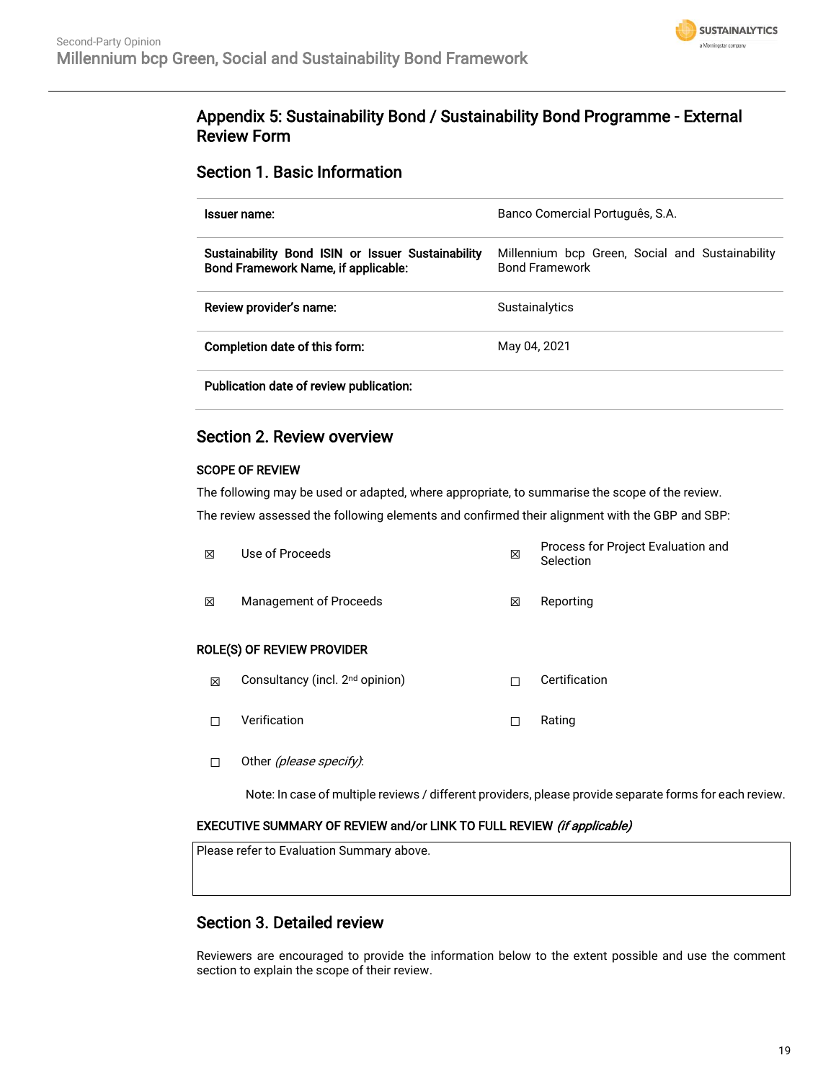

## Appendix 5: Sustainability Bond / Sustainability Bond Programme - External Review Form

### Section 1. Basic Information

| Issuer name:                                                                             | Banco Comercial Português, S.A.                                          |
|------------------------------------------------------------------------------------------|--------------------------------------------------------------------------|
| Sustainability Bond ISIN or Issuer Sustainability<br>Bond Framework Name, if applicable: | Millennium bcp Green, Social and Sustainability<br><b>Bond Framework</b> |
| Review provider's name:                                                                  | <b>Sustainalytics</b>                                                    |
| Completion date of this form:                                                            | May 04, 2021                                                             |
| Publication date of review publication:                                                  |                                                                          |

# Section 2. Review overview

## SCOPE OF REVIEW

The following may be used or adapted, where appropriate, to summarise the scope of the review. The review assessed the following elements and confirmed their alignment with the GBP and SBP:

| 冈                          | Use of Proceeds        | × | Process for Project Evaluation and<br>Selection |  |  |
|----------------------------|------------------------|---|-------------------------------------------------|--|--|
| 冈                          | Management of Proceeds | X | Reporting                                       |  |  |
| ROLE(S) OF REVIEW PROVIDER |                        |   |                                                 |  |  |

- ⊠ Consultancy (incl. 2<sup>nd</sup> opinion) □ □ Certification
- ☐ Verification ☐ Rating
- □ Other (please specify):

Note: In case of multiple reviews / different providers, please provide separate forms for each review.

#### EXECUTIVE SUMMARY OF REVIEW and/or LINK TO FULL REVIEW (if applicable)

Please refer to Evaluation Summary above.

### Section 3. Detailed review

Reviewers are encouraged to provide the information below to the extent possible and use the comment section to explain the scope of their review.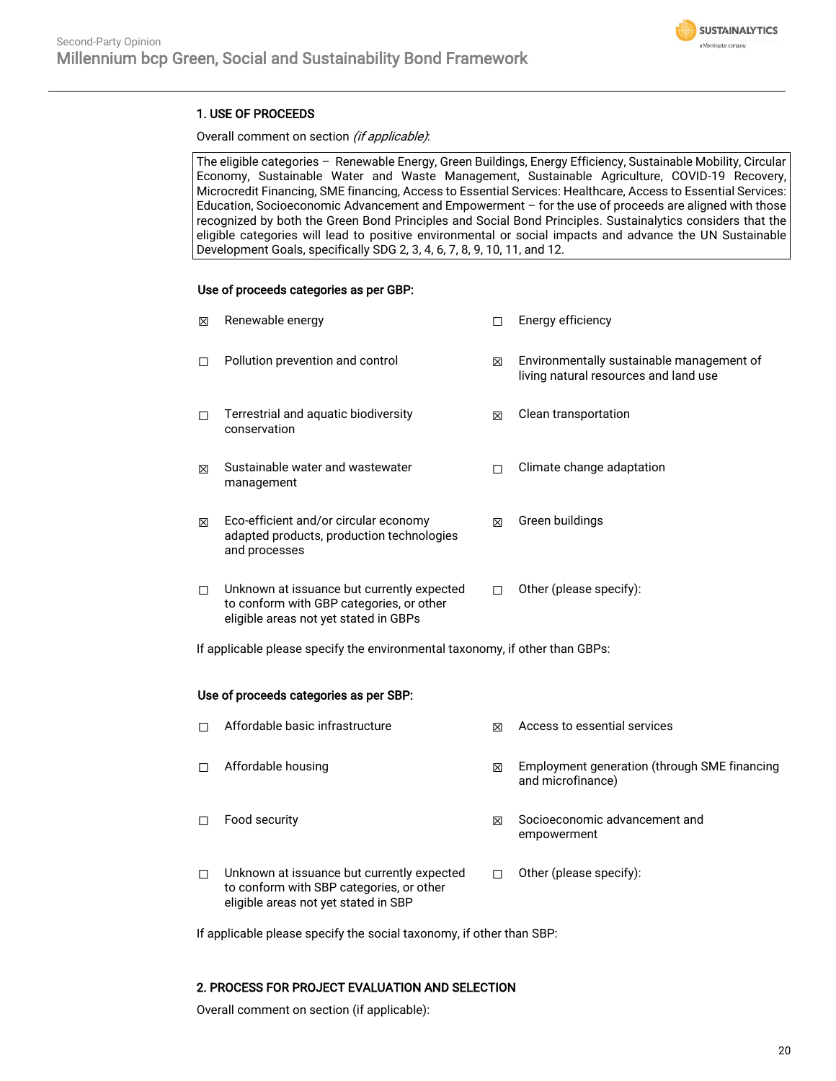

### 1. USE OF PROCEEDS

#### Overall comment on section (if applicable):

The eligible categories – Renewable Energy, Green Buildings, Energy Efficiency, Sustainable Mobility, Circular Economy, Sustainable Water and Waste Management, Sustainable Agriculture, COVID-19 Recovery, Microcredit Financing, SME financing, Access to Essential Services: Healthcare, Access to Essential Services: Education, Socioeconomic Advancement and Empowerment – for the use of proceeds are aligned with those recognized by both the Green Bond Principles and Social Bond Principles. Sustainalytics considers that the eligible categories will lead to positive environmental or social impacts and advance the UN Sustainable Development Goals, specifically SDG 2, 3, 4, 6, 7, 8, 9, 10, 11, and 12.

#### Use of proceeds categories as per GBP:

| ⊠ | Renewable energy                                                                                                                |   | Energy efficiency                                                                  |
|---|---------------------------------------------------------------------------------------------------------------------------------|---|------------------------------------------------------------------------------------|
| П | Pollution prevention and control                                                                                                | 冈 | Environmentally sustainable management of<br>living natural resources and land use |
| П | Terrestrial and aquatic biodiversity<br>conservation                                                                            | ⊠ | Clean transportation                                                               |
| ⊠ | Sustainable water and wastewater<br>management                                                                                  |   | Climate change adaptation                                                          |
| ⊠ | Eco-efficient and/or circular economy<br>adapted products, production technologies<br>and processes                             | ⊠ | Green buildings                                                                    |
| П | Unknown at issuance but currently expected<br>to conform with GBP categories, or other<br>eligible areas not yet stated in GBPs |   | Other (please specify):                                                            |

If applicable please specify the environmental taxonomy, if other than GBPs:

#### Use of proceeds categories as per SBP:

| П | Affordable basic infrastructure                                                                                                | ⊠ | Access to essential services                                      |
|---|--------------------------------------------------------------------------------------------------------------------------------|---|-------------------------------------------------------------------|
| п | Affordable housing                                                                                                             | ⊠ | Employment generation (through SME financing<br>and microfinance) |
| П | Food security                                                                                                                  | ⊠ | Socioeconomic advancement and<br>empowerment                      |
| П | Unknown at issuance but currently expected<br>to conform with SBP categories, or other<br>eligible areas not yet stated in SBP |   | Other (please specify):                                           |

If applicable please specify the social taxonomy, if other than SBP:

#### 2. PROCESS FOR PROJECT EVALUATION AND SELECTION

Overall comment on section (if applicable):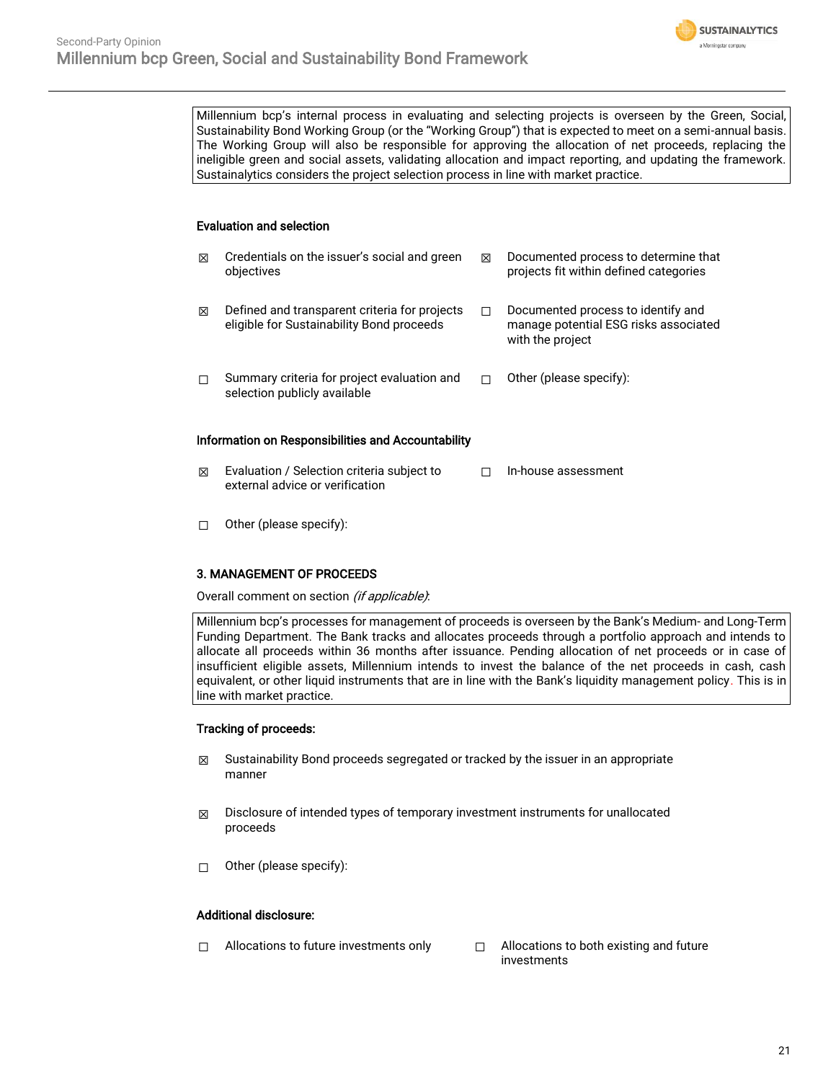

Millennium bcp's internal process in evaluating and selecting projects is overseen by the Green, Social, Sustainability Bond Working Group (or the "Working Group") that is expected to meet on a semi-annual basis. The Working Group will also be responsible for approving the allocation of net proceeds, replacing the ineligible green and social assets, validating allocation and impact reporting, and updating the framework. Sustainalytics considers the project selection process in line with market practice.

#### Evaluation and selection

| ⊠                                                         | Credentials on the issuer's social and green<br>objectives                                 | ⊠ | Documented process to determine that<br>projects fit within defined categories                  |  |  |  |
|-----------------------------------------------------------|--------------------------------------------------------------------------------------------|---|-------------------------------------------------------------------------------------------------|--|--|--|
| ⊠                                                         | Defined and transparent criteria for projects<br>eligible for Sustainability Bond proceeds | П | Documented process to identify and<br>manage potential ESG risks associated<br>with the project |  |  |  |
| П                                                         | Summary criteria for project evaluation and<br>selection publicly available                |   | Other (please specify):                                                                         |  |  |  |
| <b>Information on Responsibilities and Accountability</b> |                                                                                            |   |                                                                                                 |  |  |  |
| ⊠                                                         | Evaluation / Selection criteria subject to<br>external advice or verification              |   | In-house assessment                                                                             |  |  |  |

☐ Other (please specify):

#### 3. MANAGEMENT OF PROCEEDS

Overall comment on section (if applicable):

Millennium bcp's processes for management of proceeds is overseen by the Bank's Medium- and Long-Term Funding Department. The Bank tracks and allocates proceeds through a portfolio approach and intends to allocate all proceeds within 36 months after issuance. Pending allocation of net proceeds or in case of insufficient eligible assets, Millennium intends to invest the balance of the net proceeds in cash, cash equivalent, or other liquid instruments that are in line with the Bank's liquidity management policy. This is in line with market practice.

#### Tracking of proceeds:

- $\boxtimes$  Sustainability Bond proceeds segregated or tracked by the issuer in an appropriate manner
- $\boxtimes$  Disclosure of intended types of temporary investment instruments for unallocated proceeds
- ☐ Other (please specify):

#### Additional disclosure:

- ☐ Allocations to future investments only ☐ Allocations to both existing and future
	- investments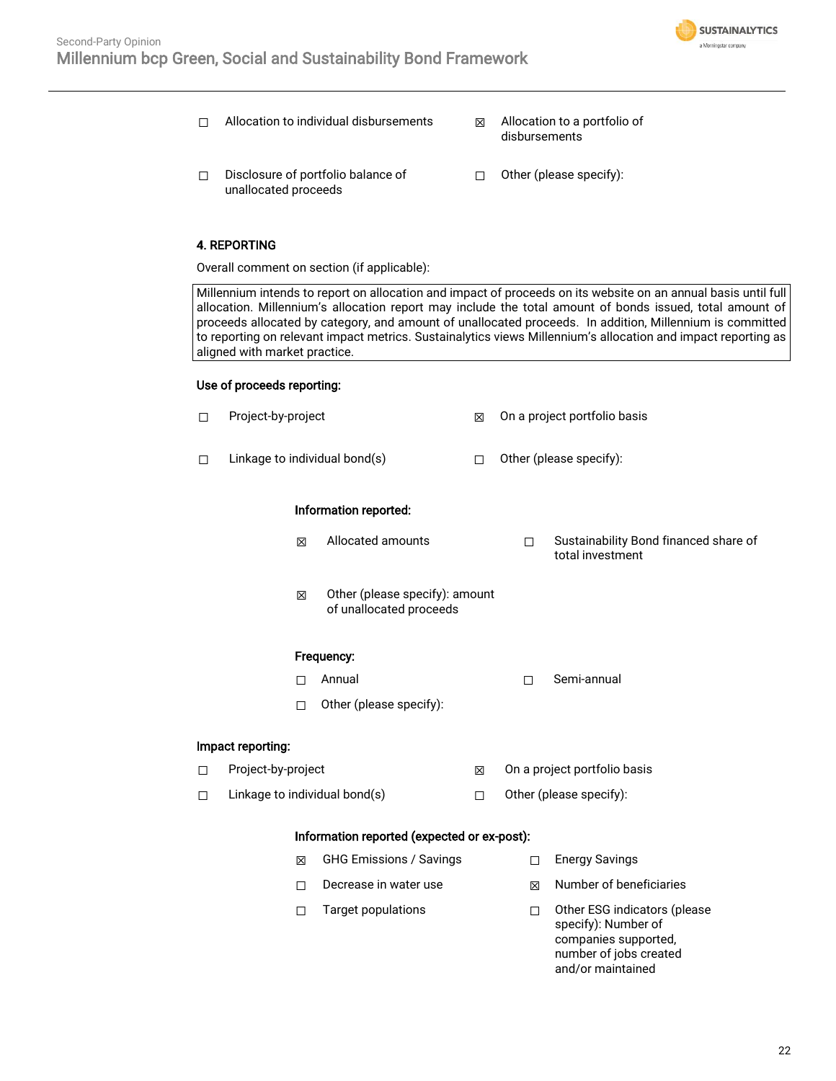

- ☐ Allocation to individual disbursements ☒ Allocation to a portfolio of
	- disbursements<sup>'</sup>
- ☐ Disclosure of portfolio balance of unallocated proceeds
- ☐ Other (please specify):

#### 4. REPORTING

Overall comment on section (if applicable):

Millennium intends to report on allocation and impact of proceeds on its website on an annual basis until full allocation. Millennium's allocation report may include the total amount of bonds issued, total amount of proceeds allocated by category, and amount of unallocated proceeds. In addition, Millennium is committed to reporting on relevant impact metrics. Sustainalytics views Millennium's allocation and impact reporting as aligned with market practice.

#### Use of proceeds reporting:

| □ | Project-by-project                          |                               | 図                                                         | On a project portfolio basis |        |                                                                                                       |
|---|---------------------------------------------|-------------------------------|-----------------------------------------------------------|------------------------------|--------|-------------------------------------------------------------------------------------------------------|
| п |                                             | Linkage to individual bond(s) |                                                           | П                            |        | Other (please specify):                                                                               |
|   |                                             | Information reported:         |                                                           |                              |        |                                                                                                       |
|   |                                             | X                             | Allocated amounts                                         |                              | П      | Sustainability Bond financed share of<br>total investment                                             |
|   |                                             | X                             | Other (please specify): amount<br>of unallocated proceeds |                              |        |                                                                                                       |
|   | Frequency:                                  |                               |                                                           |                              |        |                                                                                                       |
|   |                                             | п                             | Annual                                                    |                              | П      | Semi-annual                                                                                           |
|   |                                             | П                             | Other (please specify):                                   |                              |        |                                                                                                       |
|   | Impact reporting:                           |                               |                                                           |                              |        |                                                                                                       |
| □ | Project-by-project                          |                               | 冈                                                         | On a project portfolio basis |        |                                                                                                       |
| □ |                                             |                               | Linkage to individual bond(s)                             | П                            |        | Other (please specify):                                                                               |
|   | Information reported (expected or ex-post): |                               |                                                           |                              |        |                                                                                                       |
|   |                                             | 区                             | <b>GHG Emissions / Savings</b>                            |                              | $\Box$ | <b>Energy Savings</b>                                                                                 |
|   |                                             | □                             | Decrease in water use                                     |                              | 図      | Number of beneficiaries                                                                               |
|   |                                             | □                             | <b>Target populations</b>                                 |                              | □      | Other ESG indicators (please<br>specify): Number of<br>companies supported,<br>number of jobs created |

and/or maintained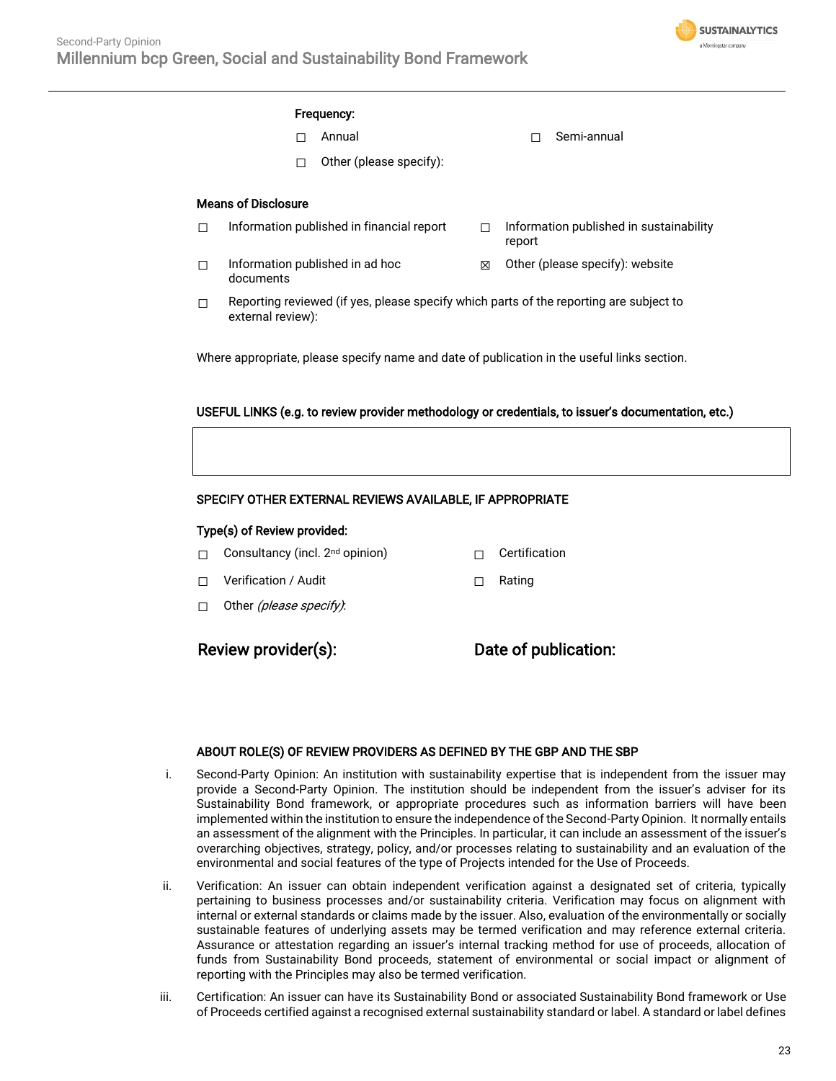

#### Frequency:

- 
- ☐ Annual ☐ Semi-annual
- $\Box$  Other (please specify):

#### Means of Disclosure

- ☐ Information published in financial report ☐ Information published in sustainability report □ Information published in ad hoc documents  $\boxtimes$  Other (please specify): website
- $\Box$  Reporting reviewed (if yes, please specify which parts of the reporting are subject to external review):

Where appropriate, please specify name and date of publication in the useful links section.

#### USEFUL LINKS (e.g. to review provider methodology or credentials, to issuer's documentation, etc.)

#### SPECIFY OTHER EXTERNAL REVIEWS AVAILABLE, IF APPROPRIATE

#### Type(s) of Review provided:

- □ Consultancy (incl. 2<sup>nd</sup> opinion) □ Certification
- ☐ Verification / Audit ☐ Rating
- □ Other (please specify):

Review provider(s): Date of publication:

#### ABOUT ROLE(S) OF REVIEW PROVIDERS AS DEFINED BY THE GBP AND THE SBP

- i. Second-Party Opinion: An institution with sustainability expertise that is independent from the issuer may provide a Second-Party Opinion. The institution should be independent from the issuer's adviser for its Sustainability Bond framework, or appropriate procedures such as information barriers will have been implemented within the institution to ensure the independence of the Second-Party Opinion. It normally entails an assessment of the alignment with the Principles. In particular, it can include an assessment of the issuer's overarching objectives, strategy, policy, and/or processes relating to sustainability and an evaluation of the environmental and social features of the type of Projects intended for the Use of Proceeds.
- ii. Verification: An issuer can obtain independent verification against a designated set of criteria, typically pertaining to business processes and/or sustainability criteria. Verification may focus on alignment with internal or external standards or claims made by the issuer. Also, evaluation of the environmentally or socially sustainable features of underlying assets may be termed verification and may reference external criteria. Assurance or attestation regarding an issuer's internal tracking method for use of proceeds, allocation of funds from Sustainability Bond proceeds, statement of environmental or social impact or alignment of reporting with the Principles may also be termed verification.
- iii. Certification: An issuer can have its Sustainability Bond or associated Sustainability Bond framework or Use of Proceeds certified against a recognised external sustainability standard or label. A standard or label defines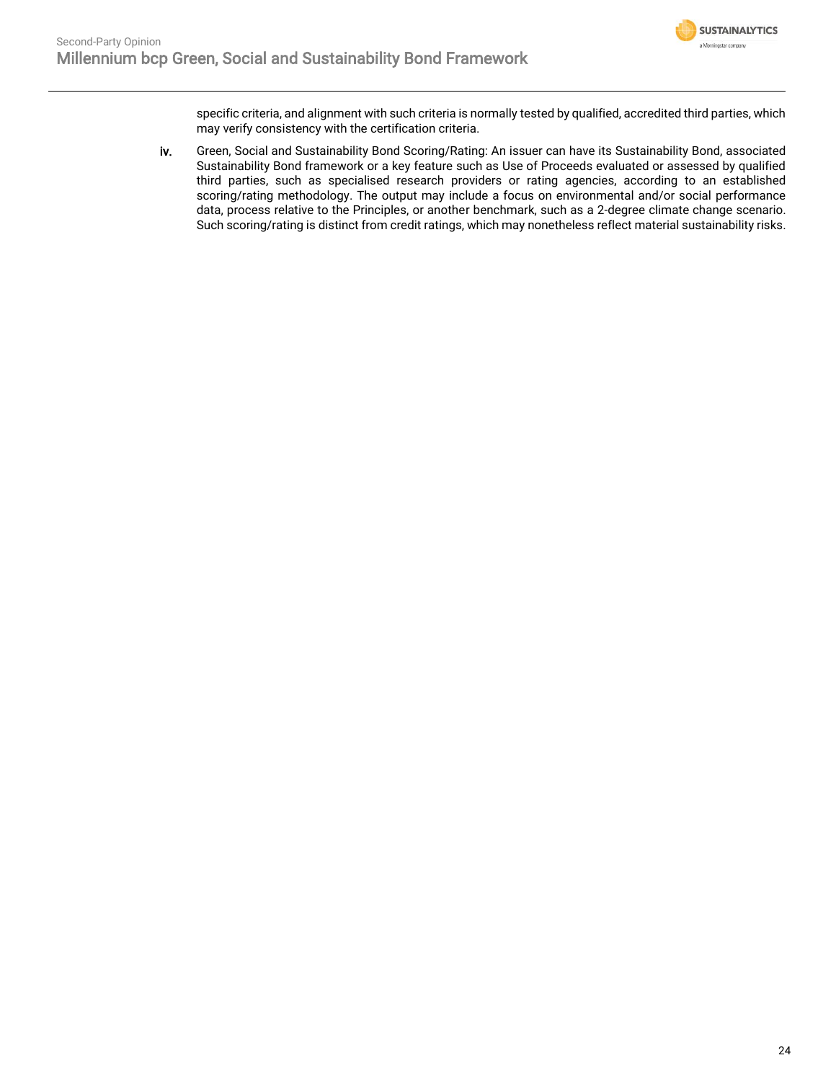specific criteria, and alignment with such criteria is normally tested by qualified, accredited third parties, which may verify consistency with the certification criteria.

iv. Green, Social and Sustainability Bond Scoring/Rating: An issuer can have its Sustainability Bond, associated Sustainability Bond framework or a key feature such as Use of Proceeds evaluated or assessed by qualified third parties, such as specialised research providers or rating agencies, according to an established scoring/rating methodology. The output may include a focus on environmental and/or social performance data, process relative to the Principles, or another benchmark, such as a 2-degree climate change scenario. Such scoring/rating is distinct from credit ratings, which may nonetheless reflect material sustainability risks.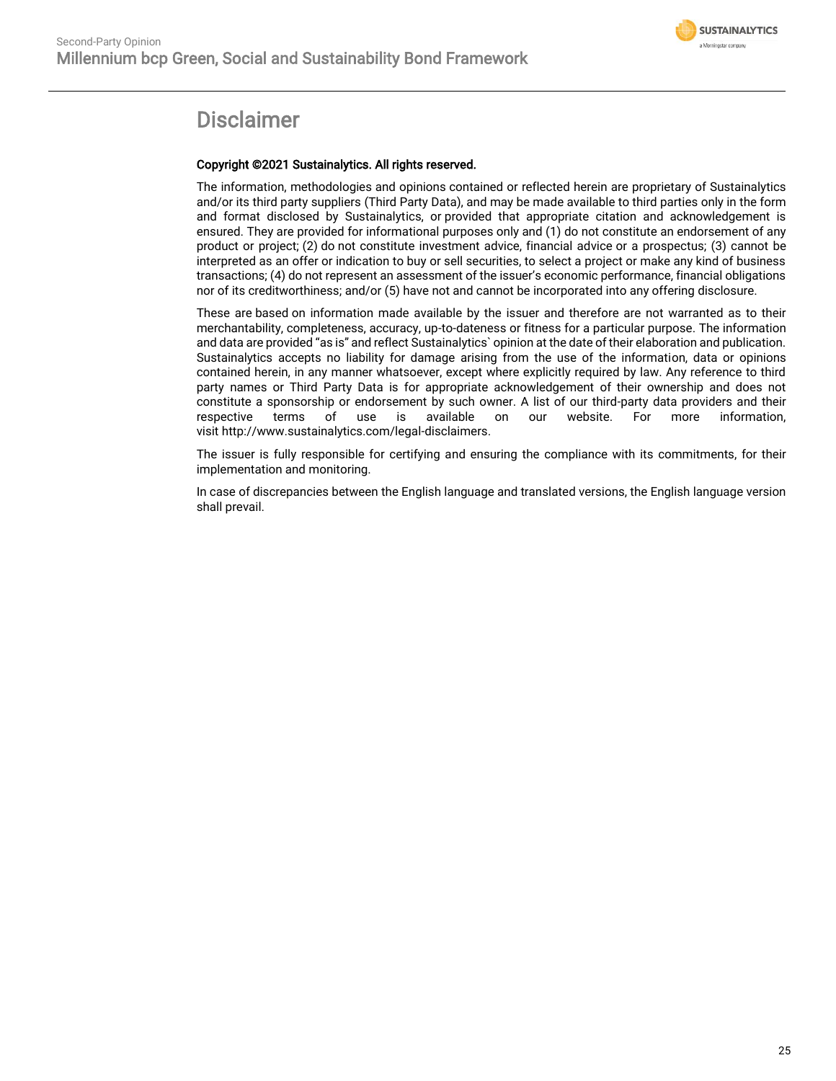

## Disclaimer

#### Copyright ©2021 Sustainalytics. All rights reserved.

The information, methodologies and opinions contained or reflected herein are proprietary of Sustainalytics and/or its third party suppliers (Third Party Data), and may be made available to third parties only in the form and format disclosed by Sustainalytics, or provided that appropriate citation and acknowledgement is ensured. They are provided for informational purposes only and (1) do not constitute an endorsement of any product or project; (2) do not constitute investment advice, financial advice or a prospectus; (3) cannot be interpreted as an offer or indication to buy or sell securities, to select a project or make any kind of business transactions; (4) do not represent an assessment of the issuer's economic performance, financial obligations nor of its creditworthiness; and/or (5) have not and cannot be incorporated into any offering disclosure.

These are based on information made available by the issuer and therefore are not warranted as to their merchantability, completeness, accuracy, up-to-dateness or fitness for a particular purpose. The information and data are provided "as is" and reflect Sustainalytics` opinion at the date of their elaboration and publication. Sustainalytics accepts no liability for damage arising from the use of the information, data or opinions contained herein, in any manner whatsoever, except where explicitly required by law. Any reference to third party names or Third Party Data is for appropriate acknowledgement of their ownership and does not constitute a sponsorship or endorsement by such owner. A list of our third-party data providers and their respective terms of use is available on our website. For more information, visit http://www.sustainalytics.com/legal-disclaimers.

The issuer is fully responsible for certifying and ensuring the compliance with its commitments, for their implementation and monitoring.

In case of discrepancies between the English language and translated versions, the English language version shall prevail.